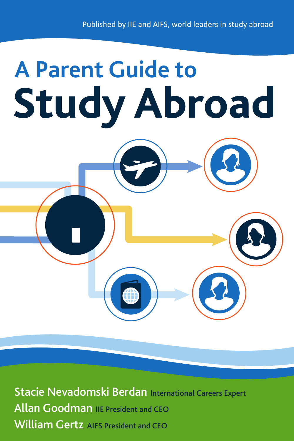# **A Parent Guide to Study Abroad**

William Gertz AIFS President and CEO Stacie Nevadomski Berdan International Careers Expert **Allan Goodman IIE President and CEO**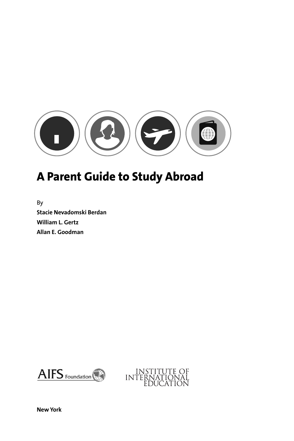

# **A Parent Guide to Study Abroad**

 **William L. Gertz Allan E. Goodman** By **Stacie Nevadomski Berdan**



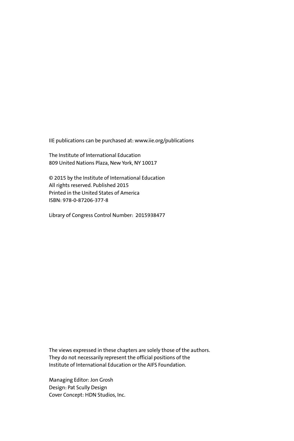IIE publications can be purchased at: www.iie.org/publications

 The Institute of International Education 809 United Nations Plaza, New York, NY 10017

 © 2015 by the Institute of International Education All rights reserved. Published 2015 Printed in the United States of America ISBN: 978-0-87206-377-8

Library of Congress Control Number: 2015938477

 The views expressed in these chapters are solely those of the authors. They do not necessarily represent the official positions of the Institute of International Education or the AIFS Foundation.

 Managing Editor: Jon Grosh Design: Pat Scully Design Cover Concept: HDN Studios, Inc.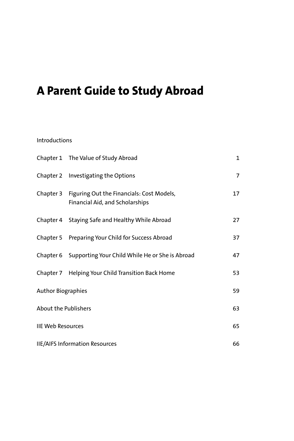# **A Parent Guide to Study Abroad**

#### Introductions

|                                       | Chapter 1 The Value of Study Abroad                                                    | $\mathbf{1}$   |
|---------------------------------------|----------------------------------------------------------------------------------------|----------------|
|                                       | Chapter 2 Investigating the Options                                                    | $\overline{7}$ |
|                                       | Chapter 3 Figuring Out the Financials: Cost Models,<br>Financial Aid, and Scholarships | 17             |
|                                       | Chapter 4 Staying Safe and Healthy While Abroad                                        | 27             |
|                                       | Chapter 5 Preparing Your Child for Success Abroad                                      | 37             |
|                                       | Chapter 6 Supporting Your Child While He or She is Abroad                              | 47             |
|                                       | Chapter 7 Helping Your Child Transition Back Home                                      | 53             |
| <b>Author Biographies</b>             |                                                                                        | 59             |
| About the Publishers                  |                                                                                        | 63             |
| <b>IIE Web Resources</b>              |                                                                                        | 65             |
| <b>IIE/AIFS Information Resources</b> |                                                                                        | 66             |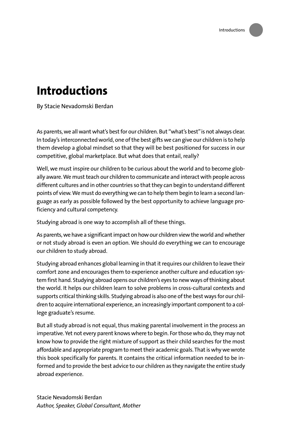# **Introductions**

By Stacie Nevadomski Berdan

As parents, we all want what's best for our children. But "what's best" is not always clear. In today's interconnected world, one of the best gifts we can give our children is to help them develop a global mindset so that they will be best positioned for success in our competitive, global marketplace. But what does that entail, really?

 Well, we must inspire our children to be curious about the world and to become glob- ally aware.We mustteach our children to communicate and interact with people across different cultures and in other countries so that they can begin to understand different points of view.We must do everything we can to help them begin to learn a second lan- guage as early as possible followed by the best opportunity to achieve language pro-ficiency and cultural competency.

Studying abroad is one way to accomplish all of these things.

As parents, we have a significant impact on how our children view the world and whether or not study abroad is even an option. We should do everything we can to encourage our children to study abroad.

Studying abroad enhances global learning in that it requires our children to leave their comfort zone and encourages them to experience another culture and education sys- tem first hand. Studying abroad opens our children's eyes to newways ofthinking about the world. It helps our children learn to solve problems in cross-cultural contexts and supports critical thinking skills. Studying abroad is also one of the best ways for our children to acquire international experience, an increasingly important component to a col-lege graduate's resume.

 But all study abroad is not equal, thus making parental involvement in the process an imperative. Yet not every parent knows where to begin. For those who do, they may not know how to provide the right mixture of support as their child searches for the most affordable and appropriate program to meet their academic goals. That is why we wrote this book specifically for parents. It contains the critical information needed to be in- formed and to provide the best advice to our children as they navigate the entire study abroad experience.

 *Author, Speaker, Global Consultant, Mother*Stacie Nevadomski Berdan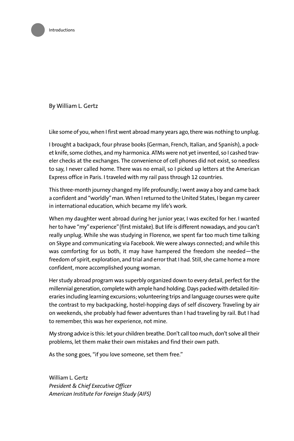

By William L. Gertz

Like some of you, when I first went abroad many years ago, there was nothing to unplug.

 I brought a backpack, four phrase books (German, French, Italian, and Spanish), a pocket knife, some clothes, and my harmonica. ATMs were not yet invented, so I cashed trav- eler checks at the exchanges. The convenience of cell phones did not exist, so needless to say, I never called home. There was no email, so I picked up letters at the American Express office in Paris. I traveled with my rail pass through 12 countries.

This three-month journey changed my life profoundly; I went away a boy and came back a confident and "worldly" man. When I returned to the United States, I began my career in international education, which became my life's work.

 When my daughter went abroad during her junior year, I was excited for her. I wanted her to have "my" experience" (first mistake). But life is different nowadays, and you can't really unplug. While she was studying in Florence, we spent far too much time talking on Skype and communicating via Facebook. We were always connected; and while this was comforting for us both, it may have hampered the freedom she needed—the freedom of spirit, exploration, and trial and error that I had. Still, she came home a more confident, more accomplished young woman.

 Her study abroad program was superbly organized down to every detail, perfect forthe millennial generation, complete with ample hand holding. Days packed with detailed itin- eraries including learning excursions; volunteering trips and language courseswere quite the contrast to my backpacking, hostel-hopping days of self discovery. Traveling by air on weekends, she probably had fewer adventures than I had traveling by rail. But I had to remember, this was her experience, not mine.

My strong advice is this: let your children breathe. Don't call too much, don't solve all their problems, let them make their own mistakes and find their own path.

As the song goes, "if you love someone, set them free."

 William L. Gertz  *President & Chief Executive Officer American Institute For Foreign Study (AIFS)*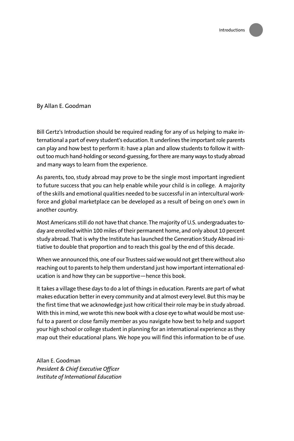#### By Allan E. Goodman

 Bill Gertz's Introduction should be required reading for any of us helping to make international a part of every student's education. It underlines the important role parents can play and how best to perform it: have a plan and allow students to follow it without too much hand-holding or second-guessing, for there are many ways to study abroad and many ways to learn from the experience.

 As parents, too, study abroad may prove to be the single most important ingredient to future success that you can help enable while your child is in college. A majority ofthe skills and emotional qualities needed to be successful in an intercultural work- force and global marketplace can be developed as a result of being on one's own in another country.

 Most Americans still do not have that chance. The majority of U.S. undergraduates to- day are enrolled within 100 miles oftheir permanent home, and only about 10 percent study abroad. That is why the Institute has launched the Generation Study Abroad ini-tiative to double that proportion and to reach this goal by the end of this decade.

 When we announced this, one of our Trustees said we would not getthere without also reaching out to parents to help them understand just how important international ed-ucation is and how they can be supportive—hence this book.

 It takes a village these days to do a lot of things in education. Parents are part of what makes education better in every community and at almost every level. But this may be the first time that we acknowledge just how critical their role may be in study abroad. With this in mind, we wrote this new book with a close eye to what would be most use- ful to a parent or close family member as you navigate how best to help and support your high school or college student in planning for an international experience as they map out their educational plans. We hope you will find this information to be of use.

 Allan E. Goodman  *President & Chief Executive Officer Institute of International Education*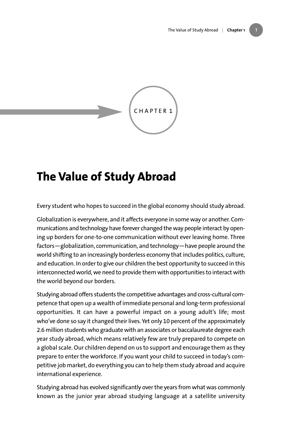CHAPTER<sub>1</sub>

# **The Value of Study Abroad**

Every student who hopes to succeed in the global economy should study abroad.

 Globalization is everywhere, and it affects everyone in some way or another. Com- munications and technology have forever changed the way people interact by opening up borders for one-to-one communication without ever leaving home. Three factors—globalization, communication, and technology—have people around the world shifting to an increasingly borderless economy that includes politics, culture, and education. In order to give our children the best opportunity to succeed in this interconnected world, we need to provide them with opportunities to interact with the world beyond our borders.

Studying abroad offers students the competitive advantages and cross-cultural competence that open up a wealth of immediate personal and long-term professional opportunities. It can have a powerful impact on a young adult's life; most who've done so say it changed their lives. Yet only 10 percent of the approximately 2.6 million students who graduate with an associates or baccalaureate degree each year study abroad, which means relatively few are truly prepared to compete on a global scale. Our children depend on us to support and encourage them as they prepare to enter the workforce. If you want your child to succeed in today's com- petitive job market, do everything you can to help them study abroad and acquire international experience.

 Studying abroad has evolved significantly over the years from what was commonly known as the junior year abroad studying language at a satellite university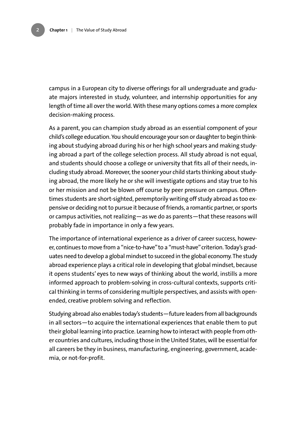campus in a European city to diverse offerings for all undergraduate and gradu- ate majors interested in study, volunteer, and internship opportunities for any length of time all over the world. With these many options comes a more complex decision-making process.

 As a parent, you can champion study abroad as an essential component of your child's college education. You should encourage your son or daughter to begin think- ing about studying abroad during his or her high school years and making study- ing abroad a part of the college selection process. All study abroad is not equal, and students should choose a college or university that fits all of their needs, including study abroad. Moreover, the sooner your child starts thinking about study- ing abroad, the more likely he or she will investigate options and stay true to his or her mission and not be blown off course by peer pressure on campus. Oftentimes students are short-sighted, peremptorily writing off study abroad as too expensive or deciding not to pursue it because of friends, a romantic partner, or sports or campus activities, not realizing—as we do as parents—that these reasons will probably fade in importance in only a few years.

 The importance of international experience as a driver of career success, however, continues to move from a "nice-to-have" to a "must-have" criterion. Today's graduates need to develop a global mindset to succeed in the global economy. The study abroad experience plays a critical role in developing that global mindset, because it opens students' eyes to new ways of thinking about the world, instills a more informed approach to problem-solving in cross-cultural contexts, supports critical thinking in terms of considering multiple perspectives, and assists with open-ended, creative problem solving and reflection.

 Studying abroad also enables today's students—future leaders from all backgrounds in all sectors—to acquire the international experiences that enable them to put their global learning into practice. Learning how to interact with people from other countries and cultures, including those in the United States, will be essential for all careers be they in business, manufacturing, engineering, government, academia, or not-for-profit.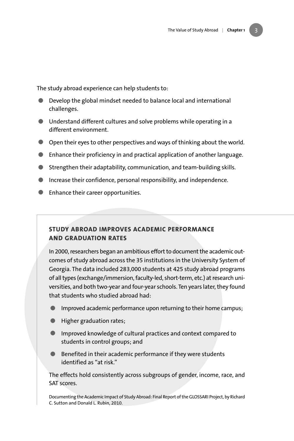The study abroad experience can help students to:

- Develop the global mindset needed to balance local and international<br>
challenges challenges.
- • Understand different cultures and solve problems while operating in <sup>a</sup> different environment.
- Open their eyes to other perspectives and ways of thinking about the world.
- Enhance their proficiency in and practical application of another language.
- Strengthen their adaptability, communication, and team-building skills.
- • Increase their confidence, personal responsibility, and independence.
- Enhance their career opportunities.

#### **STUDY ABROAD IMPROVES ACADEMIC PERFORMANCE AND GRADUATION RATES**

In 2000, researchers began an ambitious effort to document the academic outcomes of study abroad across the 35 institutions in the University System of Georgia. The data included 283,000 students at 425 study abroad programs of all types (exchange/immersion, faculty-led, short-term, etc.) at research universities, and both two-year and four-year schools. Ten years later, they found that students who studied abroad had:

- Improved academic performance upon returning to their home campus;
- Higher graduation rates;
- Improved knowledge of cultural practices and context compared to students in control groups; and
- Benefited in their academic performance if they were students identified as "at risk."

The effects hold consistently across subgroups of gender, income, race, and SAT scores.

Documenting the Academic Impact of Study Abroad: Final Report oftheGLOSSARI Project, by Richard C. Sutton and Donald L. Rubin, 2010.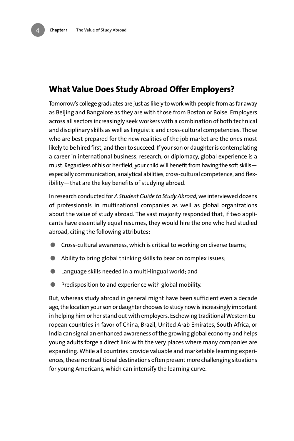# **What Value Does Study Abroad Offer Employers?**

Tomorrow's college graduates are just as likely to work with people from as far away as Beijing and Bangalore as they are with those from Boston or Boise. Employers across all sectors increasingly seek workers with a combination of both technical and disciplinary skills as well as linguistic and cross-cultural competencies. Those who are best prepared for the new realities of the job market are the ones most likely to be hired first, and then to succeed. If your son or daughter is contemplating a career in international business, research, or diplomacy, global experience is a must. Regardless of his or her field, your child will benefit from having the soft skills especially communication, analytical abilities, cross-cultural competence, and flex-ibility—that are the key benefits of studying abroad.

  In research conducted for *A Student Guide to Study Abroad*, we interviewed dozens of professionals in multinational companies as well as global organizations about the value of study abroad. The vast majority responded that, if two appli- cants have essentially equal resumes, they would hire the one who had studied abroad, citing the following attributes:

- $\bullet$  Cross-cultural awareness, which is critical to working on diverse teams;
- i • Ability to bring global thinking skills to bear on complex issues;
- $\bullet$  Language skills needed in a multi-lingual world; and
- j • Predisposition to and experience with global mobility.

 But, whereas study abroad in general might have been sufficient even a decade ago, the location your son or daughter chooses to study now is increasingly important in helping him or her stand out with employers. Eschewing traditional Western Eu- ropean countries in favor of China, Brazil, United Arab Emirates, South Africa, or India can signal an enhanced awareness of the growing global economy and helps young adults forge a direct link with the very places where many companies are expanding. While all countries provide valuable and marketable learning experiences, these nontraditional destinations often present more challenging situations for young Americans, which can intensify the learning curve.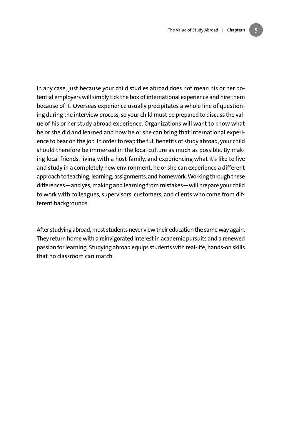In any case, just because your child studies abroad does not mean his or her potential employers will simply tick the box of international experience and hire them because of it. Overseas experience usually precipitates a whole line of question- ing during the interview process, so your child must be prepared to discuss the val- ue of his or her study abroad experience. Organizations will want to know what he or she did and learned and how he or she can bring that international experience to bear on the job. In order to reap the full benefits of study abroad, your child should therefore be immersed in the local culture as much as possible. By mak- ing local friends, living with a host family, and experiencing what it's like to live and study in a completely new environment, he or she can experience a different approach to teaching, learning, assignments, and homework. Working through these differences—and yes, making and learning from mistakes—will prepare your child to work with colleagues, supervisors, customers, and clients who come from different backgrounds.

After studying abroad, most students never view their education the same way again. They return home with a reinvigorated interest in academic pursuits and a renewed passion for learning. Studying abroad equips students with real-life, hands-on skills that no classroom can match.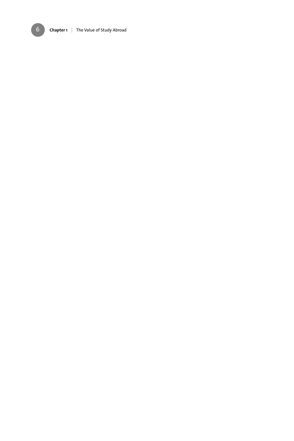### **Chapter 1** | The Value of Study Abroad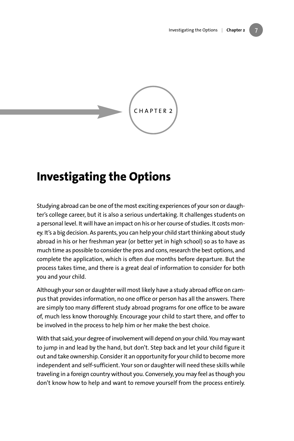C H A P T E R 2

# **Investigating the Options**

 Studying abroad can be one of the most exciting experiences of your son or daugh- ter's college career, but it is also a serious undertaking. It challenges students on a personal level. It will have an impact on his or her course of studies. It costs mon- ey. It's a big decision. As parents, you can help your child start thinking about study abroad in his or her freshman year (or better yet in high school) so as to have as much time as possible to consider the pros and cons, research the best options, and complete the application, which is often due months before departure. But the process takes time, and there is a great deal of information to consider for both you and your child.

 Although your son or daughter will most likely have a study abroad office on cam- pus that provides information, no one office or person has all the answers. There are simply too many different study abroad programs for one office to be aware of, much less know thoroughly. Encourage your child to start there, and offer to be involved in the process to help him or her make the best choice.

 With that said, your degree of involvement will depend on your child. You may want to jump in and lead by the hand, but don't. Step back and let your child figure it out and take ownership. Consider it an opportunity for your child to become more independent and self-sufficient. Your son or daughter will need these skills while traveling in a foreign country without you. Conversely, you may feel as though you don't know how to help and want to remove yourself from the process entirely.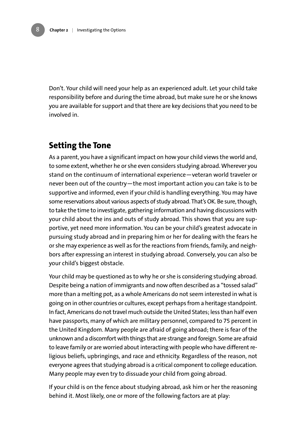Don't. Your child will need your help as an experienced adult. Let your child take responsibility before and during the time abroad, but make sure he or she knows you are available for support and that there are key decisions that you need to be involved in.

# **Setting the Tone**

 As a parent, you have a significant impact on how your child views the world and, to some extent, whether he or she even considers studying abroad.Wherever you stand on the continuum of international experience—veteran world traveler or never been out of the country—the most important action you can take is to be supportive and informed, even if your child is handling everything. You may have some reservations about various aspects of study abroad. That's OK. Be sure, though, to take the time to investigate, gathering information and having discussions with your child about the ins and outs of study abroad. This shows that you are sup- portive, yet need more information. You can be your child's greatest advocate in pursuing study abroad and in preparing him or her for dealing with the fears he or she may experience as well as for the reactions from friends, family, and neigh- bors after expressing an interest in studying abroad. Conversely, you can also be your child's biggest obstacle.

 Your child may be questioned as to why he or she is considering studying abroad. Despite being a nation of immigrants and now often described as a "tossed salad" more than a melting pot, as a whole Americans do not seem interested in what is going on in other countries or cultures, except perhaps from a heritage standpoint. In fact, Americans do not travel much outside the United States; less than half even have passports, many of which are military personnel, compared to 75 percent in the United Kingdom. Many people are afraid of going abroad; there is fear of the unknown and a discomfort with things that are strange and foreign. Some are afraid to leave family or are worried about interacting with people who have different re- ligious beliefs, upbringings, and race and ethnicity. Regardless of the reason, not everyone agrees that studying abroad is a critical component to college education. Many people may even try to dissuade your child from going abroad.

 If your child is on the fence about studying abroad, ask him or her the reasoning behind it. Most likely, one or more of the following factors are at play: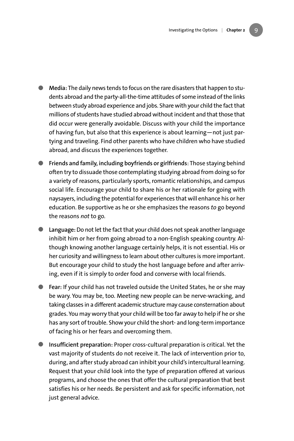- l, dents abroad and the party-all-the-time attitudes of some instead of the links between study abroad experience and jobs. Share with your child the fact that millions of students have studied abroad without incident and that those that did occur were generally avoidable. Discuss with your child the importance of having fun, but also that this experience is about learning—not just par- tying and traveling. Find other parents who have children who have studied abroad, and discuss the experiences together. • **Media:** The daily news tends to focus on the rare disasters that happen to stu-
- and family, including boyfriends or girlfriends: often try to dissuade those contemplating studying abroad from doing so for a variety of reasons, particularly sports, romantic relationships, and campus social life. Encourage your child to share his or her rationale for going with naysayers, including the potential for experiences that will enhance his or her education. Be supportive as he or she emphasizes the reasons *to* go beyond the reasons *not* to go. • **Friends and family, including boyfriends or girlfriends**: Those staying behind
- inhibit him or her from going abroad to a non-English speaking country. Al- though knowing another language certainly helps, it is not essential. His or her curiosity and willingness to learn about other cultures is more important. But encourage your child to study the host language before and after arriv- ing, even if it is simply to order food and converse with local friends. • **Language:** Do not let the fact that your child does not speak another language<br>inhibit him or her from going abroad to a non-English speaking country. Al-
- $\ddot{\phantom{a}}$ be wary. You may be, too. Meeting new people can be nerve-wracking, and taking classes in a different academic structure may cause consternation about grades. You may worry that your child will be too far away to help if he or she has any sort of trouble. Show your child the short- and long-term importance of facing his or her fears and overcoming them. • **Fear:** If your child has not traveled outside the United States, he or she may
- vast majority of students do not receive it. The lack of intervention prior to, during, and after study abroad can inhibit your child's intercultural learning. Request that your child look into the type of preparation offered at various programs, and choose the ones that offer the cultural preparation that best satisfies his or her needs. Be persistent and ask for specific information, not just general advice.• **Insufficient preparation:** Proper crosscultural preparation is critical. Yet the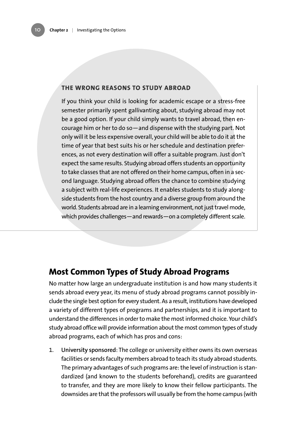#### **THE WRONG REASONS TO STUDY ABROAD**

If you think your child is looking for academic escape or a stress-free semester primarily spent gallivanting about, studying abroad may not be a good option. If your child simply wants to travel abroad, then encourage him or her to do so—and dispense with the studying part. Not only will it be less expensive overall, your child will be able to do it at the time of year that best suits his or her schedule and destination preferences, as not every destination will offer a suitable program. Just don't expect the same results. Studying abroad offers students an opportunity to take classes that are not offered on their home campus, often in a second language. Studying abroad offers the chance to combine studying a subject with real-life experiences. It enables students to study alongside students from the host country and a diverse group from around the world. Students abroad are in a learning environment, not just travel mode, which provides challenges—and rewards—on a completely different scale.

## **Most Common Types of Study Abroad Programs**

 No matter how large an undergraduate institution is and how many students it sends abroad every year, its menu of study abroad programs cannot possibly include the single best option for every student. As a result, institutions have developed a variety of different types of programs and partnerships, and it is important to understand the differences in order to make the most informed choice. Your child's study abroad office will provide information about the most common types of study abroad programs, each of which has pros and cons:

 1. **University sponsored**: The college or university either owns its own overseas facilities or sends faculty members abroad to teach its study abroad students. The primary advantages of such programs are: the level of instruction is stan- dardized (and known to the students beforehand), credits are guaranteed to transfer, and they are more likely to know their fellow participants. The downsides are that the professors will usually be from the home campus (with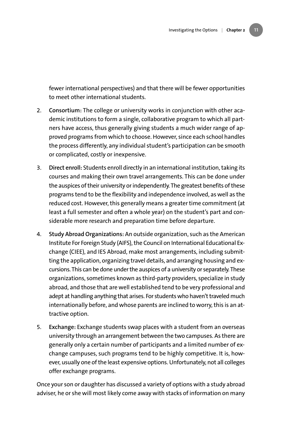fewer international perspectives) and that there will be fewer opportunities to meet other international students.

- 2. Consortium: The college or university works in conjunction with other aca- demic institutions to form a single, collaborative program to which all part- ners have access, thus generally giving students a much wider range of ap- proved programs from which to choose. However, since each school handles the process differently, any individual student's participation can be smooth or complicated, costly or inexpensive.
- 3. **Direct enroll:** Students enroll directly in an international institution,taking its courses and making their own travel arrangements. This can be done under the auspices of their university or independently. The greatest benefits of these programs tend to be the flexibility and independence involved, as well as the reduced cost. However, this generally means a greater time commitment (at least a full semester and often a whole year) on the student's part and con-siderable more research and preparation time before departure.
- 4. **Study Abroad Organizations:** An outside organization, such as the American Institute For Foreign Study (AIFS), the Council on International Educational Ex- change (CIEE), and IES Abroad, make most arrangements, including submit- ting the application, organizing travel details, and arranging housing and excursions. This can be done under the auspices of a university or separately. These organizations, sometimes known as third-party providers, specialize in study abroad, and those that are well established tend to be very professional and adept at handling anything that arises. For students who haven't traveled much internationally before, and whose parents are inclined to worry, this is an attractive option.
- 5. **Exchange:** Exchange students swap places with a student from an overseas university through an arrangement between the two campuses. As there are generally only a certain number of participants and a limited number of ex- change campuses, such programs tend to be highly competitive. It is, however, usually one of the least expensive options. Unfortunately, not all colleges offer exchange programs.

 Once your son or daughter has discussed a variety of options with a study abroad adviser, he or she will most likely come away with stacks of information on many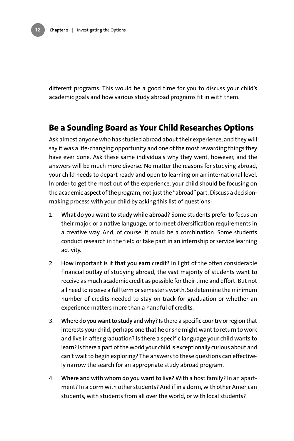different programs. This would be a good time for you to discuss your child's academic goals and how various study abroad programs fit in with them.

# **Be a Sounding Board as Your Child Researches Options**

 Ask almost anyone who has studied abroad about their experience, and they will say it was a life-changing opportunity and one of the most rewarding things they have ever done. Ask these same individuals why they went, however, and the answers will be much more diverse. No matter the reasons for studying abroad, your child needs to depart ready and open to learning on an international level. In order to get the most out of the experience, your child should be focusing on the academic aspect of the program, not just the "abroad" part. Discuss a decision-making process with your child by asking this list of questions:

- 1. **What do you want to study while abroad?** Some students prefer to focus on their major, or a native language, or to meet diversification requirements in a creative way. And, of course, it could be a combination. Some students conduct research in the field or take part in an internship or service learning activity.
- 2. **How important is it that you earn credit?** In light of the often considerable financial outlay of studying abroad, the vast majority of students want to receive as much academic credit as possible for their time and effort. But not all need to receive a full term or semester's worth. So determine the minimum number of credits needed to stay on track for graduation or whether an experience matters more than a handful of credits.
- 3. **Where do youwantto study andwhy?** Is there a specific country orregion that interests your child, perhaps one that he or she might want to return to work and live in after graduation? Is there a specific language your child wants to learn? Is there a part of the world your child is exceptionally curious about and can't wait to begin exploring? The answers to these questions can effective-ly narrow the search for an appropriate study abroad program.
- 4. **Where and with whom do you want to live?** With a host family? In an apart- ment? In a dorm with other students? And ifin a dorm, with other American students, with students from all over the world, or with local students?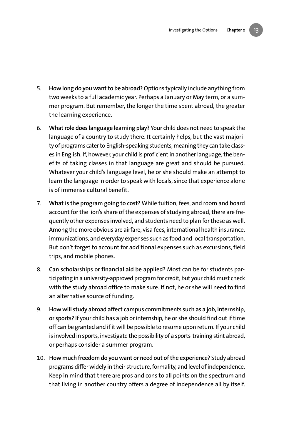- 5. **How long do you wantto be abroad?** Options typically include anything from two weeks to a full academic year. Perhaps a January or May term, or a sum- mer program. But remember, the longer the time spent abroad, the greater the learning experience.
- 6. **Whatrole does language learning play?** Your child does not need to speak the language of a country to study there. It certainly helps, but the vast majority of programs cater to English-speaking students, meaning they can take classes in English. If, however, your child is proficient in another language, the ben- efits of taking classes in that language are great and should be pursued. Whatever your child's language level, he or she should make an attempt to learn the language in order to speak with locals, since that experience alone is of immense cultural benefit.
- 7. **What is the program going to cost?** While tuition, fees, and room and board account for the lion's share of the expenses of studying abroad, there are frequently other expenses involved, and students need to plan for these as well. Among the more obvious are airfare, visa fees, international health insurance, immunizations, and everyday expenses such as food and local transportation. But don't forget to account for additional expenses such as excursions, field trips, and mobile phones.
- 8. **Can scholarships or financial aid be applied?** Most can be for students participating in a university-approved program for credit, but your child must check with the study abroad office to make sure. If not, he or she will need to find an alternative source of funding.
- 9. **How will study abroad affect campus commitments such as a job, internship, or sports?** If your child has a job or internship, he or she should find out if time off can be granted and if it will be possible to resume upon return. If your child is involved in sports, investigate the possibility of a sports-training stint abroad, or perhaps consider a summer program.
- 10. **How much freedom do you want or need out ofthe experience?** Study abroad programs differ widely in their structure, formality, and level of independence. Keep in mind that there are pros and cons to all points on the spectrum and that living in another country offers a degree of independence all by itself.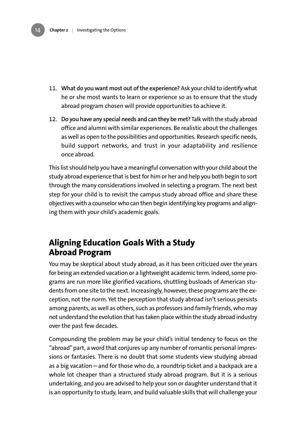- 11. **What do you want most out ofthe experience?** Ask your child to identify what he or she most wants to learn or experience so as to ensure that the study abroad program chosen will provide opportunities to achieve it.
- 12. **Do you have any special needs and can they be met?**Talkwith the study abroad office and alumni with similar experiences. Be realistic about the challenges as well as open to the possibilities and opportunities. Research specific needs, build support networks, and trust in your adaptability and resilience once abroad.

This list should help you have a meaningful conversation with your child about the study abroad experience that is best for him or her and help you both begin to sort through the many considerations involved in selecting a program. The next best step for your child is to revisit the campus study abroad office and share these objectives with a counselor who can then begin identifying key programs and align-ing them with your child's academic goals.

## **Aligning Education Goals With a Study Abroad Program**

 You may be skeptical about study abroad, as it has been criticized over the years for being an extended vacation or a lightweight academic term. Indeed, some pro- grams are run more like glorified vacations, shuttling busloads of American students from one site to the next. Increasingly, however, these programs are the ex- ception, not the norm. Yet the perception that study abroad isn't serious persists among parents, as well as others, such as professors and family friends, who may not understand the evolution that has taken place within the study abroad industry over the past few decades.

 Compounding the problem may be your child's initial tendency to focus on the "abroad"part, a word that conjures up any number of romantic personal impres- sions or fantasies. There is no doubt that some students view studying abroad as a big vacation—and for those who do, a roundtrip ticket and a backpack are a whole lot cheaper than a structured study abroad program. But it is a serious undertaking, and you are advised to help your son or daughter understand that it is an opportunity to study, learn, and build valuable skills that will challenge your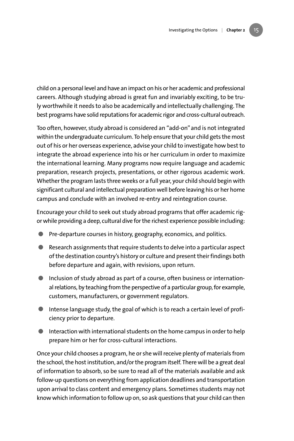child on a personal level and have an impact on his or her academic and professional careers. Although studying abroad is great fun and invariably exciting, to be tru- ly worthwhile it needs to also be academically and intellectually challenging. The best programs have solid reputations for academic rigor and cross-cultural outreach.

Too often, however, study abroad is considered an "add-on" and is not integrated within the undergraduate curriculum. To help ensure that your child gets the most out of his or her overseas experience, advise your child to investigate how best to integrate the abroad experience into his or her curriculum in order to maximize the international learning. Many programs now require language and academic preparation, research projects, presentations, or other rigorous academic work. Whether the program lasts three weeks or a full year, your child should begin with significant cultural and intellectual preparation well before leaving his or her home campus and conclude with an involved re-entry and reintegration course.

 Encourage your child to seek out study abroad programs that offer academic rigor while providing a deep, cultural dive for the richest experience possible including:

- Pre-departure courses in history, geography, economics, and politics.
- j of the destination country's history or culture and present their findings both before departure and again, with revisions, upon return. • Research assignments that require students to delve into <sup>a</sup> particular aspect
- al relations, by teaching from the perspective of a particular group, for example, customers, manufacturers, or government regulators. • Inclusion of study abroad as part of <sup>a</sup> course, often business or internation-
- ciency prior to departure. • Intense language study, the goal of which is to reach <sup>a</sup> certain level of profi-
- prepare him or her for cross-cultural interactions. • Interaction with international students on the home campus in orderto help

Once your child chooses a program, he or she will receive plenty of materials from the school, the host institution, and/or the program itself. There will be a great deal of information to absorb, so be sure to read all of the materials available and ask follow-up questions on everything from application deadlines and transportation upon arrival to class content and emergency plans. Sometimes students may not know which information to follow up on, so ask questions that your child can then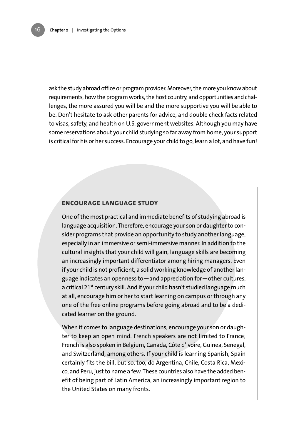ask the study abroad office or program provider. Moreover, the more you know about requirements, how the program works, the host country, and opportunities and chal- lenges, the more assured you will be and the more supportive you will be able to be. Don't hesitate to ask other parents for advice, and double check facts related to visas, safety, and health on U.S. government websites. Although you may have some reservations about your child studying so far away from home, your support is critical for his or her success. Encourage your child to go, learn a lot, and have fun!

#### **ENCOURAGE LANGUAGE STUDY**

One of the most practical and immediate benefits of studying abroad is language acquisition. Therefore, encourage your son or daughter to con- sider programs that provide an opportunity to study anotherlanguage, especially in an immersive or semi-immersive manner. In addition to the cultural insights that your child will gain, language skills are becoming an increasingly important differentiator among hiring managers. Even if your child is not proficient, a solid working knowledge of another lan- guage indicates an openness to—and appreciation for—other cultures, a critical 21st century skill. And if your child hasn't studied language much at all, encourage him or her to start learning on campus or through any one of the free online programs before going abroad and to be a dedi-cated learner on the ground.

 When it comes to language destinations, encourage your son or daugh- ter to keep an open mind. French speakers are not limited to France; French is also spoken in Belgium, Canada, Côte d'Ivoire, Guinea, Senegal, and Switzerland, among others. If your child is learning Spanish, Spain certainly fits the bill, but so, too, do Argentina, Chile, Costa Rica, Mexico, and Peru, just to name a few. These countries also have the added ben- efit of being part of Latin America, an increasingly important region to the United States on many fronts.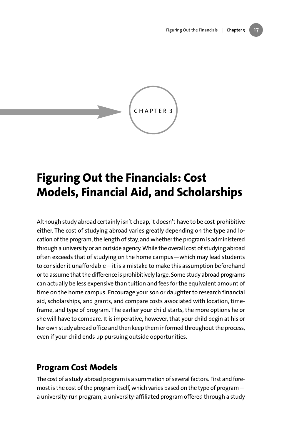C H A P T E R 3

# **Figuring Out the Financials: Cost Models, Financial Aid, and Scholarships**

Although study abroad certainly isn't cheap, it doesn't have to be cost-prohibitive either. The cost of studying abroad varies greatly depending on the type and lo- cation of the program, the length of stay, and whether the program is administered through a university or an outside agency. While the overall cost of studying abroad often exceeds that of studying on the home campus—which may lead students to consider it unaffordable—it is a mistake to make this assumption beforehand or to assume that the difference is prohibitively large. Some study abroad programs can actually be less expensive than tuition and fees for the equivalent amount of time on the home campus. Encourage your son or daughter to research financial aid, scholarships, and grants, and compare costs associated with location, time- frame, and type of program. The earlier your child starts, the more options he or she will have to compare. It is imperative, however, that your child begin at his or her own study abroad office and then keep them informed throughout the process, even if your child ends up pursuing outside opportunities.

## **Program Cost Models**

 The cost of a study abroad program is a summation of several factors. First and fore- most is the cost of the program itself, which varies based on the type of program a university-run program, a university-affiliated program offered through a study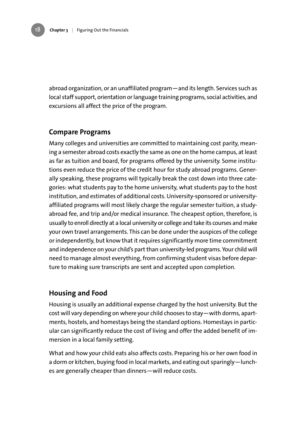abroad organization, or an unaffiliated program—and its length. Services such as local staff support, orientation orlanguage training programs, social activities, and excursions all affect the price of the program.

#### **Compare Programs**

 Many colleges and universities are committed to maintaining cost parity, meaning a semester abroad costs exactly the same as one on the home campus, at least as far as tuition and board, for programs offered by the university. Some institu- tions even reduce the price of the credit hour for study abroad programs. Gener- ally speaking, these programs will typically break the cost down into three cate- gories: what students pay to the home university, what students pay to the host institution, and estimates of additional costs. University-sponsored or university- affiliated programs will most likely charge the regular semester tuition, a study- abroad fee, and trip and/or medical insurance. The cheapest option, therefore, is usually to enroll directly at a local university or college and take its courses and make your own travel arrangements. This can be done under the auspices of the college or independently, but know that it requires significantly more time commitment and independence on your child's part than university-led programs. Your child will need to manage almost everything, from confirming student visas before depar-ture to making sure transcripts are sent and accepted upon completion.

#### **Housing and Food**

 Housing is usually an additional expense charged by the host university. But the cost will vary depending on where your child chooses to stay—with dorms, apart- ments, hostels, and homestays being the standard options. Homestays in partic- ular can significantly reduce the cost of living and offer the added benefit of im-mersion in a local family setting.

 What and how your child eats also affects costs. Preparing his or her own food in a dorm or kitchen, buying food in local markets, and eating out sparingly—lunch-es are generally cheaper than dinners—will reduce costs.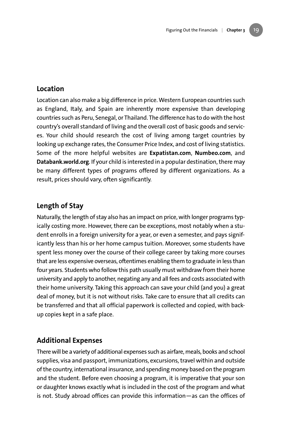#### **Location**

 Location can also make a big difference in price.Western European countries such as England, Italy, and Spain are inherently more expensive than developing countries such as Peru, Senegal, or Thailand. The difference has to do with the host country's overall standard of living and the overall cost of basic goods and servic- es. Your child should research the cost of living among target countries by looking up exchange rates, the Consumer Price Index, and cost of living statistics. Some of the more helpful websites are **Expatistan.com**, **Numbeo.com**, and **Databank.world.org**. If your child is interested in a popular destination, there may be many different types of programs offered by different organizations. As a result, prices should vary, often significantly.

#### **Length of Stay**

Naturally, the length of stay also has an impact on price, with longer programs typ- ically costing more. However, there can be exceptions, most notably when a stu- dent enrolls in a foreign university for a year, or even a semester, and pays signif- icantly less than his or her home campus tuition. Moreover, some students have spent less money over the course of their college career by taking more courses that are less expensive overseas, oftentimes enabling them to graduate in less than four years. Students who follow this path usually must withdraw from their home university and apply to another, negating any and allfees and costs associated with their home university. Taking this approach can save your child (and you) a great deal of money, but it is not without risks. Take care to ensure that all credits can be transferred and that all official paperwork is collected and copied, with back-up copies kept in a safe place.

#### **Additional Expenses**

There will be a variety of additional expenses such as airfare, meals, books and school supplies, visa and passport, immunizations, excursions, travel within and outside ofthe country, international insurance, and spending money based on the program and the student. Before even choosing a program, it is imperative that your son or daughter knows exactly what is included in the cost of the program and what is not. Study abroad offices can provide this information—as can the offices of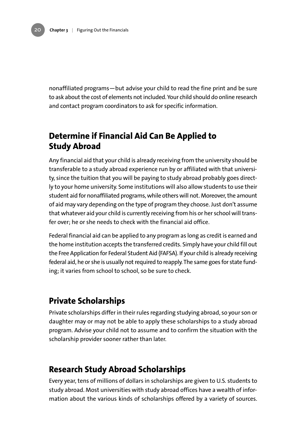nonaffiliated programs—but advise your child to read the fine print and be sure to ask about the cost of elements not included. Your child should do online research and contact program coordinators to ask for specific information.

# **Determine if Financial Aid Can Be Applied to Study Abroad**

 Any financial aid that your child is already receiving from the university should be transferable to a study abroad experience run by or affiliated with that universi- ty, since the tuition that you will be paying to study abroad probably goes direct- ly to your home university. Some institutions will also allow students to use their student aid for nonaffiliated programs, while others will not. Moreover, the amount of aid may vary depending on the type of program they choose. Just don't assume that whatever aid your child is currently receiving from his or her school will trans-fer over; he or she needs to check with the financial aid office.

Federal financial aid can be applied to any program as long as credit is earned and the home institution accepts the transferred credits. Simply have your child fill out the Free Application for Federal Student Aid (FAFSA). If your child is already receiving federal aid, he or she is usually not required to reapply. The same goes for state fund-ing; it varies from school to school, so be sure to check.

# **Private Scholarships**

Private scholarships differ in their rules regarding studying abroad, so your son or daughter may or may not be able to apply these scholarships to a study abroad program. Advise your child not to assume and to confirm the situation with the scholarship provider sooner rather than later.

# **Research Study Abroad Scholarships**

 Every year, tens of millions of dollars in scholarships are given to U.S. students to study abroad. Most universities with study abroad offices have a wealth of infor-mation about the various kinds of scholarships offered by a variety of sources.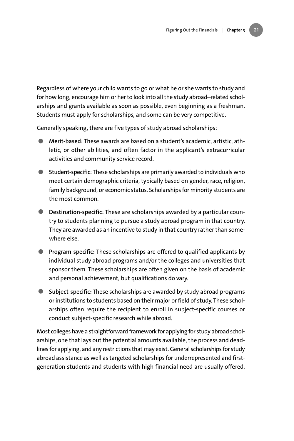Regardless of where your child wants to go or what he or she wants to study and for how long, encourage him or her to look into all the study abroad–related schol- arships and grants available as soon as possible, even beginning as a freshman. Students must apply for scholarships, and some can be very competitive.

Generally speaking, there are five types of study abroad scholarships:

- letic, or other abilities, and often factor in the applicant's extracurricular activities and community service record. • **Meritbased:** These awards are based on <sup>a</sup> student's academic, artistic, ath-
- meet certain demographic criteria, typically based on gender, race, religion, family background, or economic status. Scholarships for minority students are the most common. ● **Student-specific:** These scholarships are primarily awarded to individuals who<br>meet certain demographic criterial typically based on gender race, religion
- try to students planning to pursue a study abroad program in that country. They are awarded as an incentive to study in that country rather than some- where else. • **Destination-specific:** These are scholarships awarded by a particular coun-<br>try to students planning to pursue a study abroad program in that country
- individual study abroad programs and/or the colleges and universities that sponsor them. These scholarships are often given on the basis of academic and personal achievement, but qualifications do vary. • **Programspecific:** These scholarships are offered to qualified applicants by
- or institutions to students based on their major or field of study. These scholarships often require the recipient to enroll in subject-specific courses or conduct subject-specific research while abroad. • **Subject-specific:** These scholarships are awarded by study abroad programs<br>or institutions to students based on their major or field of study. These schol-

 Most colleges have a straightforward framework for applying for study abroad scholarships, one that lays out the potential amounts available, the process and deadlines for applying, and any restrictions that may exist. General scholarships for study abroad assistance as well as targeted scholarships for underrepresented and first-generation students and students with high financial need are usually offered.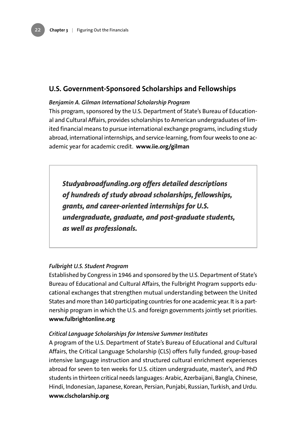#### **U.S. Government-Sponsored Scholarships and Fellowships**

#### *Benjamin A. Gilman International Scholarship Program*

 This program, sponsored by the U.S. Department of State's Bureau of Education- al and Cultural Affairs, provides scholarships to American undergraduates of lim- ited financial means to pursue international exchange programs, including study abroad, international internships, and service-learning, from four weeks to one ac-ademic year for academic credit. **www.iie.org/gilman**

 *Studyabroadfunding.org offers detailed descriptions of hundreds of study abroad scholarships, fellowships, grants, and careeroriented internships for U.S. undergraduate, graduate, and postgraduate students, as well as professionals.*

#### *Fulbright U.S. Student Program*

Established by Congress in 1946 and sponsored by the U.S. Department of State's Bureau of Educational and Cultural Affairs, the Fulbright Program supports edu- cational exchanges that strengthen mutual understanding between the United States and more than 140 participating countries for one academic year. It is a part- nership program in which the U.S. and foreign governments jointly set priorities. **www.fulbrightonline.org**

#### *Critical Language Scholarships for Intensive Summer Institutes*

 A program of the U.S. Department of State's Bureau of Educational and Cultural Affairs, the Critical Language Scholarship (CLS) offers fully funded, group-based intensive language instruction and structured cultural enrichment experiences abroad for seven to ten weeks for U.S. citizen undergraduate, master's, and PhD students in thirteen critical needs languages: Arabic, Azerbaijani, Bangla, Chinese, Hindi, Indonesian, Japanese, Korean, Persian, Punjabi, Russian, Turkish, and Urdu. **www.clscholarship.org**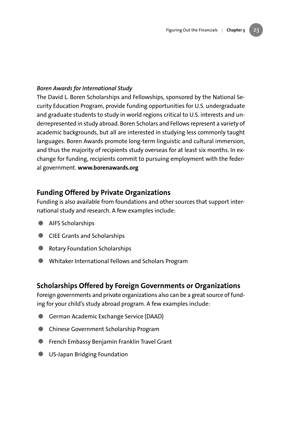#### *Boren Awards for International Study*

 The David L. Boren Scholarships and Fellowships, sponsored by the National Se- curity Education Program, provide funding opportunities for U.S. undergraduate and graduate students to study in world regions critical to U.S. interests and un- derrepresented in study abroad. Boren Scholars and Fellows represent a variety of academic backgrounds, but all are interested in studying less commonly taught languages. Boren Awards promote long-term linguistic and cultural immersion, and thus the majority of recipients study overseas for at least six months. In ex- change for funding, recipients commit to pursuing employment with the federal government. **www.borenawards.org**

#### **Funding Offered by Private Organizations**

 Funding is also available from foundations and other sources that support inter-national study and research. A few examples include:

- AIFS Scholarships
- CIEE Grants and Scholarships
- Rotary Foundation Scholarships
- Whitaker International Fellows and Scholars Program

#### **Scholarships Offered by Foreign Governments or Organizations**

 Foreign governments and private organizations also can be a great source offund-ing for your child's study abroad program. A few examples include:

- German Academic Exchange Service (DAAD)
- Chinese Government Scholarship Program
- French Embassy Benjamin Franklin Travel Grant
- US-Japan Bridging Foundation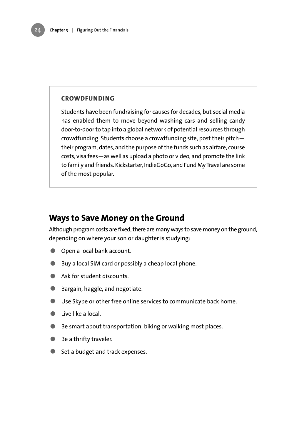#### **CROWDFUNDING**

 Students have been fundraising for causes for decades, but social media has enabled them to move beyond washing cars and selling candy door-to-door to tap into a global network of potential resources through crowdfunding. Students choose a crowdfunding site, post their pitch— their program, dates, and the purpose ofthe funds such as airfare, course costs, visa fees—as well as upload a photo or video, and promote the link to family and friends. Kickstarter, IndieGoGo, and Fund My Travel are some of the most popular.

## **Ways to Save Money on the Ground**

Although program costs are fixed, there are many ways to save money on the ground, depending on where your son or daughter is studying:

- • Open a local bank account.
- Buy <sup>a</sup> local SIM card or possibly <sup>a</sup> cheap local phone.
- j • Ask for student discounts.
- Bargain, haggle, and negotiate.
- Use Skype or other free online services to communicate back home.
- Live like a local.
- Be smart about transportation, biking or walking most places.
- Be a thrifty traveler.
- Set a budget and track expenses.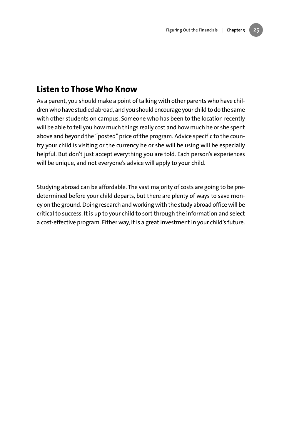# **Listen to Those Who Know**

As a parent, you should make a point of talking with other parents who have children who have studied abroad, and you should encourage your child to do the same with other students on campus. Someone who has been to the location recently will be able to tell you how much things really cost and how much he or she spent above and beyond the "posted" price of the program. Advice specific to the coun- try your child is visiting or the currency he or she will be using will be especially helpful. But don't just accept everything you are told. Each person's experiences will be unique, and not everyone's advice will apply to your child.

 Studying abroad can be affordable. The vast majority of costs are going to be pre- determined before your child departs, but there are plenty of ways to save mon- ey on the ground.Doing research and working with the study abroad office will be critical to success. It is up to your child to sort through the information and select a cost-effective program. Either way, it is a great investment in your child's future.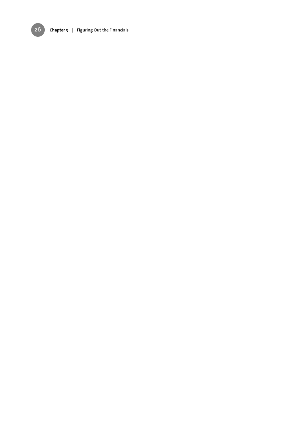

## **Chapter 3** | Figuring Out the Financials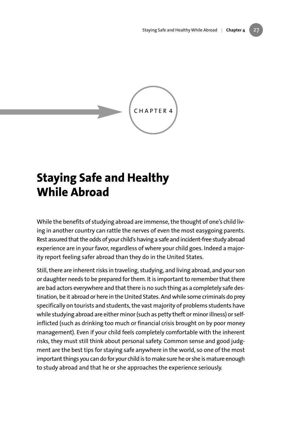

# **Staying Safe and Healthy While Abroad**

 While the benefits of studying abroad are immense, the thought of one's child liv- ing in another country can rattle the nerves of even the most easygoing parents. Rest assured that the odds of your child's having a safe and incident-free study abroad experience are in your favor, regardless of where your child goes. Indeed a major-ity report feeling safer abroad than they do in the United States.

 Still, there are inherent risks in traveling, studying, and living abroad, and your son or daughter needs to be prepared for them. It is important to remember that there are bad actors everywhere and that there is no such thing as a completely safe des- tination, be it abroad or here in the United States. And while some criminals do prey specifically on tourists and students, the vast majority of problems students have while studying abroad are either minor (such as petty theft or minor illness) or self- inflicted (such as drinking too much or financial crisis brought on by poor money management). Even if your child feels completely comfortable with the inherent risks, they must still think about personal safety. Common sense and good judg- ment are the best tips for staying safe anywhere in the world, so one of the most important things you can do for your child is to make sure he or she is mature enough to study abroad and that he or she approaches the experience seriously.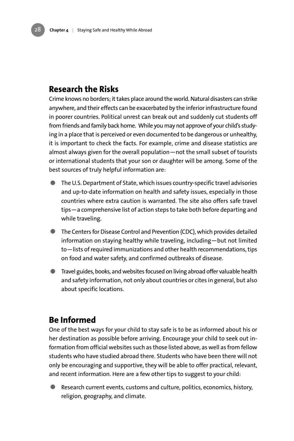# **Research the Risks**

Crime knows no borders; it takes place around the world. Natural disasters can strike anywhere, and their effects can be exacerbated by the inferior infrastructure found in poorer countries. Political unrest can break out and suddenly cut students off from friends and family back home. While you may not approve of your child's studying in a place that is perceived or even documented to be dangerous or unhealthy, it is important to check the facts. For example, crime and disease statistics are almost always given for the overall population—not the small subset of tourists or international students that your son or daughter will be among. Some of the best sources of truly helpful information are:

- and up-to-date information on health and safety issues, especially in those countries where extra caution is warranted. The site also offers safe travel tips—a comprehensive list of action steps to take both before departing and while traveling. • The U.S. Department of State, which issues country-specific travel advisories<br>and un-to-date information on health and safety issues, especially in those
- information on staying healthy while traveling, including—but not limited to—lists of required immunizations and other health recommendations, tips on food and water safety, and confirmed outbreaks of disease. • The Centers for Disease Control and Prevention (CDC), which provides detailed<br>information on staving healthy while traveling including—but not limited
- and safety information, not only about countries or cites in general, but also about specific locations. • Travel guides, books, andwebsites focused on living abroad offer valuable health

## **Be Informed**

 One of the best ways for your child to stay safe is to be as informed about his or her destination as possible before arriving. Encourage your child to seek out in- formation from official websites such as those listed above, as well as from fellow students who have studied abroad there. Students who have been there will not only be encouraging and supportive, they will be able to offer practical, relevant, and recent information. Here are a few other tips to suggest to your child:

 religion, geography, and climate.• Research current events, customs and culture, politics, economics, history,<br>religion, geography, and climate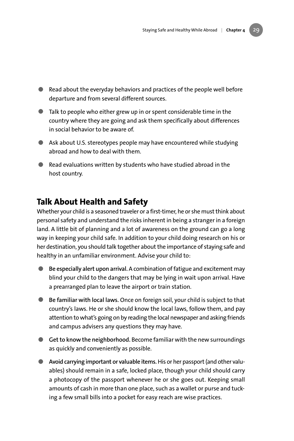- departure and from several different sources. • Read about the everyday behaviors and practices of the people well before
- j country where they are going and ask them specifically about differences in social behavior to be aware of. • Talk to people who either grew up in or spent considerable time in the
- abroad and how to deal with them. • Ask about U.S. stereotypes people may have encountered while studying
- host country. • Read evaluations written by students who have studied abroad in the

## **Talk About Health and Safety**

Whether your child is a seasoned traveler or a first-timer, he or she must think about personal safety and understand the risks inherent in being a strangerin a foreign land. A little bit of planning and a lot of awareness on the ground can go a long way in keeping your child safe. In addition to your child doing research on his or her destination, you should talk together about the importance of staying safe and healthy in an unfamiliar environment. Advise your child to:

- especially alert upon arrival. A combination blind your child to the dangers that may be lying in wait upon arrival. Have a prearranged plan to leave the airport or train station. • **Be especially alert upon arrival.** <sup>A</sup> combination offatigue and excitement may
- familiar with local laws. Once country's laws. He or she should know the local laws, follow them, and pay attention towhat's going on by reading the local newspaper and asking friends and campus advisers any questions they may have. • **Be familiar with local laws.** Once on foreign soil, your child is subject to that
- to know the neighborhood. Become as quickly and conveniently as possible. • **Get to know the neighborhood.** Become familiar with the new surroundings
- carrying important or valuable items. His ables) should remain in a safe, locked place, though your child should carry a photocopy of the passport whenever he or she goes out. Keeping small amounts of cash in more than one place, such as a wallet or purse and tuck- ing a few small bills into a pocket for easy reach are wise practices.• **Avoid carrying important or valuable items.**His or her passport(and other valu-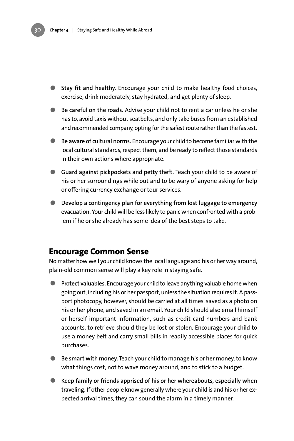- fit and healthy. Encourage exercise, drink moderately, stay hydrated, and get plenty of sleep. • **Stay fit and healthy.** Encourage your child to make healthy food choices,
- careful on the roads. Advise has to, avoid taxis without seatbelts, and only take buses from an established and recommended company, opting for the safest route rather than the fastest. • **Be careful on the roads.** Advise your child not to rent <sup>a</sup> car unless he or she
- aware of cultural norms. Encourage local cultural standards, respect them, and be ready to reflect those standards in their own actions where appropriate. • **Be aware of cultural norms.** Encourage your child to become familiar with the
- against pickpockets and petty theft. Teach his or her surroundings while out and to be wary of anyone asking for help or offering currency exchange or tour services. • **Guard against pickpockets and petty theft.** Teach your child to be aware of
- a contingency plan for everything from lost luggage to **evacuation.** Your child will be less likely to panic when confronted with a prob- lem if he or she already has some idea of the best steps to take. • **Develop <sup>a</sup> contingency plan for everything from lost luggage to emergency**

## **Encourage Common Sense**

 No matter how well your child knows the local language and his or her way around, plain-old common sense will play a key role in staying safe.

- j going out, including his or her passport, unless the situation requires it. A pass- port photocopy, however, should be carried at all times, saved as a photo on his or her phone, and saved in an email. Your child should also email himself or herself important information, such as credit card numbers and bank accounts, to retrieve should they be lost or stolen. Encourage your child to use a money belt and carry small bills in readily accessible places for quick • **Protect valuables.** Encourage your child to leave anything valuable homewhen purchases.
- smart with money. Teach what things cost, not to wave money around, and to stick to a budget. • **Be smart with money.** Teach your child to manage his or her money,to know
- family or friends apprised of his or her whereabouts, especially **traveling.** If other people know generally where your child is and his or her ex- pected arrival times, they can sound the alarm in a timely manner.• **Keep family or friends apprised of his or her whereabouts, especially when**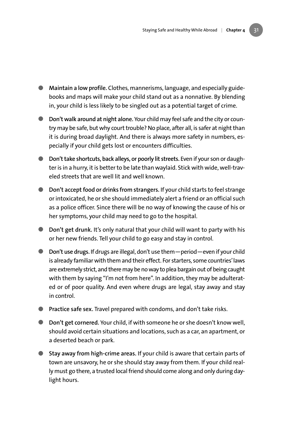- a low profile. Clothes, mannerisms, books and maps will make your child stand out as a nonnative. By blending in, your child is less likely to be singled out as a potential target of crime. • **Maintain <sup>a</sup> low profile.** Clothes, mannerisms, language, and especially guide-
- walk around at night alone. Your try may be safe, but why court trouble? No place, after all, is safer at night than it is during broad daylight. And there is always more safety in numbers, es- pecially if your child gets lost or encounters difficulties. • **Don't walk around at night alone.** Your child may feel safe and the city or coun-
- take shortcuts, back alleys, or poorly lit streets. Even ter is in a hurry, it is better to be late than waylaid. Stick with wide, well-trav- eled streets that are well lit and well known. • **Don'ttake shortcuts, back alleys, or poorly lit streets.** Even if your son or daugh-
- accept food or drinks from strangers. If orintoxicated, he or she should immediately alert a friend or an official such as a police officer. Since there will be no way of knowing the cause of his or her symptoms, your child may need to go to the hospital. • **Don't accept food or drinks from strangers.** If your child starts to feel strange
- get drunk. It's or her new friends. Tell your child to go easy and stay in control. • **Don't get drunk.** It's only natural that your child will want to party with his
- use drugs. If is already familiar with them and their effect. For starters, some countries' laws are extremely strict, and there may be no way to plea bargain out of being caught with them by saying "I'm not from here". In addition, they may be adulterat- ed or of poor quality. And even where drugs are legal, stay away and stay in control. • **Don't use drugs.** If drugs are illegal, don't use them—period—even if your child
- safe sex. Travel • **Practice safe sex.** Travel prepared with condoms, and don't take risks.
- get cornered. Your should avoid certain situations and locations, such as a car, an apartment, or a deserted beach or park. • **Don't get cornered.** Your child, if with someone he or she doesn't know well,
- away from high-crime areas. If town are unsavory, he or she should stay away from them. If your child really must go there, a trusted local friend should come along and only during day- light hours.• **Stay away from high-crime areas.** If your child is aware that certain parts of<br>town are unsayory, he or she should stay away from them. If your child real-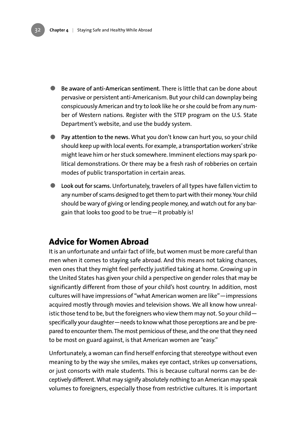- aware of anti-American sentiment. There pervasive or persistent anti-Americanism. But your child can downplay being conspicuously American and try to look like he or she could be from any num- ber of Western nations. Register with the STEP program on the U.S. State Department's website, and use the buddy system. • **Be aware of antiAmerican sentiment.** There is little that can be done about
- attention to the news. What should keep up with local events. For example, a transportation workers'strike might leave him or her stuck somewhere. Imminent elections may spark po- litical demonstrations. Or there may be a fresh rash of robberies on certain modes of public transportation in certain areas. • **Pay attention to the news.** What you don't know can hurt you, so your child
- out for scams. Unfortunately, any number of scams designed to get them to part with their money. Your child should be wary of giving or lending people money, and watch out for any bar- gain that looks too good to be true—it probably is! • **Look out for scams.** Unfortunately,travelers of alltypes have fallen victim to

# **Advice for Women Abroad**

It is an unfortunate and unfair fact of life, but women must be more careful than men when it comes to staying safe abroad. And this means not taking chances, even ones that they might feel perfectly justified taking at home. Growing up in the United States has given your child a perspective on gender roles that may be significantly different from those of your child's host country. In addition, most cultures will have impressions of "what American women are like"—impressions acquired mostly through movies and television shows. We all know how unreal- istic those tend to be, but the foreigners who view them may not. So your child specifically your daughter—needs to know what those perceptions are and be prepared to encounter them. The most pernicious of these, and the one that they need to be most on guard against, is that American women are "easy."

 Unfortunately, a woman can find herself enforcing that stereotype without even meaning to by the way she smiles, makes eye contact, strikes up conversations, or just consorts with male students. This is because cultural norms can be de- ceptively different.What may signify absolutely nothing to an American may speak volumes to foreigners, especially those from restrictive cultures. It is important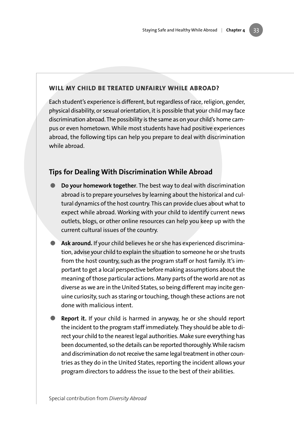#### **WILL MY CHILD BE TREATED UNFAIRLY WHILE ABROAD?**

Each student's experience is different, but regardless of race, religion, gender, physical disability, or sexual orientation, it is possible that your child may face discrimination abroad.The possibility is the same as on your child's home campus or even hometown. While most students have had positive experiences abroad, the following tips can help you prepare to deal with discrimination while abroad.

### **Tips for Dealing With Discrimination While Abroad**

- **Do your homework together**. The best way to deal with discrimination abroad is to prepare yourselves by learning about the historical and cultural dynamics of the host country. This can provide clues about what to expect while abroad. Working with your child to identify current news outlets, blogs, or other online resources can help you keep up with the cur rent cultural issues of the country.
- **Ask around.** If your child believes he or she has experienced discrimination, advise your child to explain the situation to someone he or she trusts from the host country, such as the program staff or host family. It's important to get a local perspective before making assumptions about the meaning of those particular actions. Many parts of the world are not as diverse as we are in the United States, so being different may incite genuine curiosity, such as staring or touching, though these actions are not done with malicious intent.
- **Report it.** If your child is harmed in anyway, he or she should report the incident to the program staff immediately. They should be able to direct your child to the nearest legal authorities. Make sure everything has been documented, so the details can be reported thoroughly.While racism and discrimination do not receive the same legal treatment in other countries as they do in the United States, reporting the incident allows your program directors to address the issue to the best of their abilities.

Special contribution from *Diversity Abroad*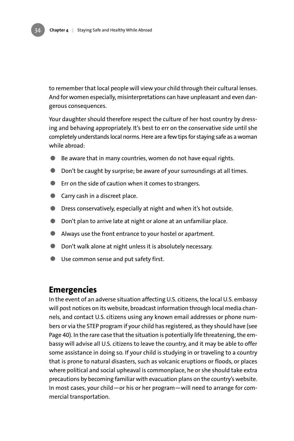to remember that local people will view your child through their cultural lenses. And for women especially, misinterpretations can have unpleasant and even dangerous consequences.

 Your daughter should therefore respect the culture of her host country by dress- ing and behaving appropriately. It's best to err on the conservative side until she completely understands local norms. Here are a few tips for staying safe as a woman while abroad:

- $\bullet$  Be aware that in many countries, women do not have equal rights.
- Don't be caught by surprise; be aware of your surroundings at all times.
- Err on the side of caution when it comes to strangers.
- • Carry cash in <sup>a</sup> discreet place.
- Dress conservatively, especially at night and when it's hot outside.
- Don't plan to arrive late at night or alone at an unfamiliar place.
- Always use the front entrance to your hostel or apartment.
- Don't walk alone at night unless it is absolutely necessary.
- Use common sense and put safety first.

## **Emergencies**

In the event of an adverse situation affecting U.S. citizens, the local U.S. embassy will post notices on its website, broadcast information through local media chan- nels, and contact U.S. citizens using any known email addresses or phone num- bers or via the STEP program if your child has registered, as they should have (see Page 40). In the rare case that the situation is potentially life threatening, the em- bassy will advise all U.S. citizens to leave the country, and it may be able to offer some assistance in doing so. If your child is studying in or traveling to a country that is prone to natural disasters, such as volcanic eruptions or floods, or places where political and social upheaval is commonplace, he or she should take extra precautions by becoming familiar with evacuation plans on the country's website. In most cases, your child—or his or her program—will need to arrange for commercial transportation.

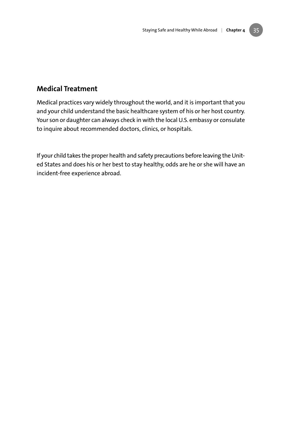### **Medical Treatment**

 Medical practices vary widely throughout the world, and it is important that you and your child understand the basic healthcare system of his or her host country. Your son or daughter can always check in with the local U.S. embassy or consulate to inquire about recommended doctors, clinics, or hospitals.

If your child takes the proper health and safety precautions before leaving the Unit- ed States and does his or her best to stay healthy, odds are he or she will have an incident-free experience abroad.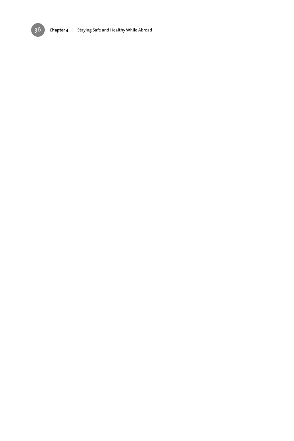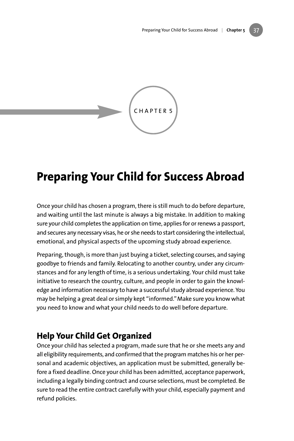

# **Preparing Your Child for Success Abroad**

 Once your child has chosen a program, there is still much to do before departure, and waiting until the last minute is always a big mistake. In addition to making sure your child completes the application on time, applies for or renews a passport, and secures any necessary visas, he or she needs to start considering the intellectual, emotional, and physical aspects of the upcoming study abroad experience.

 Preparing, though, is more than just buying a ticket, selecting courses, and saying goodbye to friends and family. Relocating to another country, under any circum- stances and for any length of time, is a serious undertaking. Your child must take initiative to research the country, culture, and people in order to gain the knowl- edge and information necessary to have a successful study abroad experience. You may be helping a great deal or simply kept "informed."Make sure you know what you need to know and what your child needs to do well before departure.

# **Help Your Child Get Organized**

 Once your child has selected a program, made sure that he or she meets any and all eligibility requirements, and confirmed that the program matches his or her per- sonal and academic objectives, an application must be submitted, generally be- fore a fixed deadline. Once your child has been admitted, acceptance paperwork, including a legally binding contract and course selections, must be completed. Be sure to read the entire contract carefully with your child, especially payment and refund policies.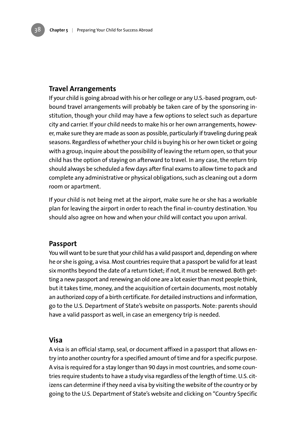### **Travel Arrangements**

If your child is going abroad with his or her college or any U.S.-based program, out- bound travel arrangements will probably be taken care of by the sponsoring in- stitution, though your child may have a few options to select such as departure city and carrier. If your child needs to make his or her own arrangements, however, make sure they are made as soon as possible, particularly if traveling during peak seasons. Regardless of whether your child is buying his or her own ticket or going with a group, inquire about the possibility of leaving the return open, so that your child has the option of staying on afterward to travel. In any case, the return trip should always be scheduled a few days after final exams to allow time to pack and complete any administrative or physical obligations, such as cleaning out a dorm room or apartment.

 If your child is not being met at the airport, make sure he or she has a workable plan for leaving the airport in order to reach the final in-country destination. You should also agree on how and when your child will contact you upon arrival.

#### **Passport**

You will want to be sure that your child has a valid passport and, depending on where he or she is going, a visa. Most countries require that a passport be valid for at least six months beyond the date of a return ticket; if not, it must be renewed. Both getting a new passport and renewing an old one are a lot easier than most people think, but it takes time, money, and the acquisition of certain documents, most notably an authorized copy of a birth certificate. For detailed instructions and information, go to the U.S. Department of State's website on passports. Note: parents should have a valid passport as well, in case an emergency trip is needed.

#### **Visa**

 A visa is an official stamp, seal, or document affixed in a passport that allows entry into another country for a specified amount of time and for a specific purpose. A visa is required for a stay longerthan 90 days in most countries, and some countries require students to have a study visa regardless of the length of time. U.S. citizens can determine if they need a visa by visiting the website of the country or by going to the U.S. Department of State's website and clicking on "Country Specific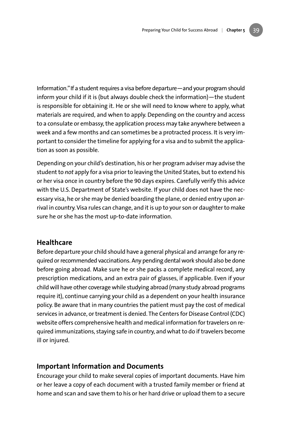Information." If a student requires a visa before departure—and your program should inform your child if it is (but always double check the information)—the student is responsible for obtaining it. He or she will need to know where to apply, what materials are required, and when to apply. Depending on the country and access to a consulate or embassy, the application process may take anywhere between a week and a few months and can sometimes be a protracted process. It is very important to consider the timeline for applying for a visa and to submit the applica-tion as soon as possible.

 Depending on your child's destination, his or her program adviser may advise the student to *not* apply for a visa prior to leaving the United States, but to extend his or her visa once in country before the 90 days expires. Carefully verify this advice with the U.S. Department of State's website. If your child does not have the nec- essary visa, he or she may be denied boarding the plane, or denied entry upon arrival in country. Visa rules can change, and it is up to your son or daughter to make sure he or she has the most up-to-date information.

### **Healthcare**

 Before departure your child should have a general physical and arrange for any required or recommended vaccinations. Any pending dental work should also be done before going abroad. Make sure he or she packs a complete medical record, any prescription medications, and an extra pair of glasses, if applicable. Even if your child will have other coverage while studying abroad (many study abroad programs require it), continue carrying your child as a dependent on your health insurance policy. Be aware that in many countries the patient must pay the cost of medical services in advance, or treatment is denied. The Centers for Disease Control (CDC) website offers comprehensive health and medical information fortravelers on required immunizations, staying safe in country, and what to do if travelers become ill or injured.

#### **Important Information and Documents**

 Encourage your child to make several copies of important documents. Have him or her leave a copy of each document with a trusted family member or friend at home and scan and save them to his or her hard drive or upload them to a secure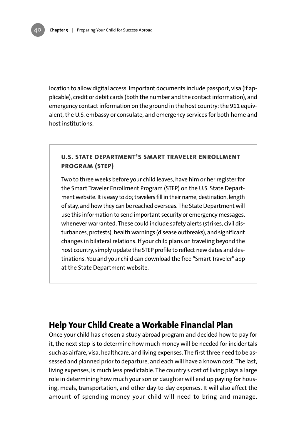location to allow digital access. Important documents include passport, visa (if applicable), credit or debit cards (both the number and the contact information), and emergency contact information on the ground in the host country: the 911 equiv- alent, the U.S. embassy or consulate, and emergency services for both home and host institutions.

### **U.S. STATE DEPARTMENT'S SMART TRAVELER ENROLLMENT PROGRAM (STEP)**

Two to three weeks before your child leaves, have him or her register for the Smart Traveler Enrollment Program (STEP) on the U.S. State Department website. It is easy to do; travelers fill in their name, destination, length of stay, and how they can be reached overseas. The State Department will use this information to send important security or emergency messages, whenever warranted. These could include safety alerts (strikes, civil dis- turbances, protests), health warnings (disease outbreaks), and significant changes in bilateral relations. If your child plans on traveling beyond the host country, simply update the STEP profile to reflect new dates and des- tinations. You and your child can download the free "Smart Traveler"app at the State Department website.

# **Help Your Child Create a Workable Financial Plan**

 Once your child has chosen a study abroad program and decided how to pay for it, the next step is to determine how much money will be needed for incidentals such as airfare, visa, healthcare, and living expenses. The first three need to be assessed and planned prior to departure, and each will have a known cost. The last, living expenses, is much less predictable. The country's cost of living plays a large role in determining how much your son or daughter will end up paying for housing, meals, transportation, and other day-to-day expenses. It will also affect the amount of spending money your child will need to bring and manage.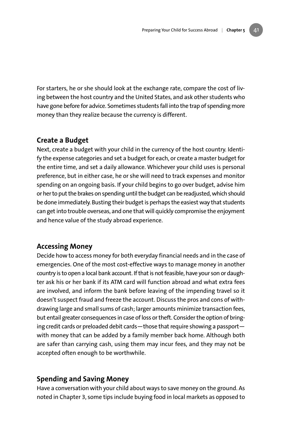For starters, he or she should look at the exchange rate, compare the cost of liv- ing between the host country and the United States, and ask other students who have gone before for advice. Sometimes students fall into the trap of spending more money than they realize because the currency is different.

#### **Create a Budget**

 Next, create a budget with your child in the currency of the host country. Identify the expense categories and set a budget for each, or create a master budget for the entire time, and set a daily allowance. Whichever your child uses is personal preference, but in either case, he or she will need to track expenses and monitor spending on an ongoing basis. If your child begins to go over budget, advise him or her to put the brakes on spending until the budget can be readjusted, which should be done immediately. Busting their budget is perhaps the easiest way that students can get into trouble overseas, and one that will quickly compromise the enjoyment and hence value of the study abroad experience.

#### **Accessing Money**

 Decide how to access money for both everyday financial needs and in the case of emergencies. One of the most cost-effective ways to manage money in another country is to open a local bank account. If that is not feasible, have your son or daugh- ter ask his or her bank if its ATM card will function abroad and what extra fees are involved, and inform the bank before leaving of the impending travel so it doesn't suspect fraud and freeze the account. Discuss the pros and cons of with- drawing large and small sums of cash; larger amounts minimize transaction fees, but entail greater consequences in case of loss or theft. Consider the option of bringing credit cards or preloaded debit cards—those that require showing a passport— with money that can be added by a family member back home. Although both are safer than carrying cash, using them may incur fees, and they may not be accepted often enough to be worthwhile.

#### **Spending and Saving Money**

 Have a conversation with your child about ways to save money on the ground. As noted in Chapter 3, some tips include buying food in local markets as opposed to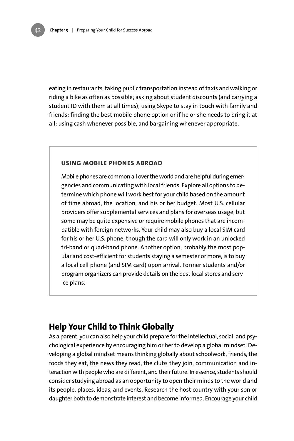eating in restaurants, taking public transportation instead of taxis and walking or riding a bike as often as possible; asking about student discounts (and carrying a student ID with them at all times); using Skype to stay in touch with family and friends; finding the best mobile phone option or if he or she needs to bring it at all; using cash whenever possible, and bargaining whenever appropriate.

#### **USING MOBILE PHONES ABROAD**

Mobile phones are common all over the world and are helpful during emergencies and communicating with local friends. Explore all options to determine which phone will work best for your child based on the amount of time abroad, the location, and his or her budget. Most U.S. cellular providers offer supplemental services and plans for overseas usage, but some may be quite expensive or require mobile phones that are incom- patible with foreign networks. Your child may also buy a local SIM card for his or her U.S. phone, though the card will only work in an unlocked tri-band or quad-band phone. Another option, probably the most popular and cost-efficient for students staying a semester or more, is to buy a local cell phone (and SIM card) upon arrival. Former students and/or program organizers can provide details on the best local stores and service plans.

## **Help Your Child to Think Globally**

As a parent, you can also help your child prepare for the intellectual, social, and psy- chological experience by encouraging him or herto develop a global mindset. Developing a global mindset means thinking globally about schoolwork, friends, the foods they eat, the news they read, the clubs they join, communication and interaction with people who are different, and their future. In essence, students should consider studying abroad as an opportunity to open their minds to the world and its people, places, ideas, and events. Research the host country with your son or daughter both to demonstrate interest and become informed. Encourage your child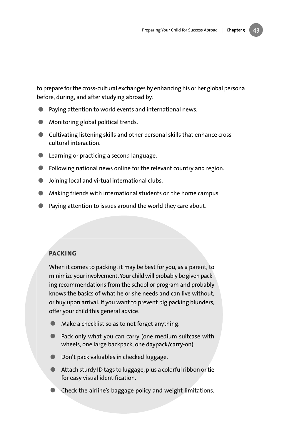to prepare for the cross-cultural exchanges by enhancing his or her global persona before, during, and after studying abroad by:

- Paying attention to world events and international news.
- Monitoring global political trends.
- Cultivating listening skills and other personal skills that enhance cross-<br>cultural interaction. cultural interaction.
- Learning or practicing <sup>a</sup> second language.
- Following national news online for the relevant country and region.
- Joining local and virtual international clubs.
- j • Making friends with international students on the home campus.
- Paying attention to issues around the world they care about.

#### **PACKING**

When it comes to packing, it may be best for you, as a parent, to minimize your involvement. Your child will probably be given packing recommendations from the school or program and probably knows the basics of what he or she needs and can live without, or buy upon arrival. If you want to prevent big packing blunders, o ffer your child this general advice:

- Make a checklist so as to not forget anything.
- Pack only what you can carry (one medium suitcase with wheels, one large backpack, one daypack/carry-on).
- Don't pack valuables in checked luggage.
- Attach sturdy ID tags to luggage, plus a colorful ribbon or tie for easy visual identification.
- Check the airline's baggage policy and weight limitations.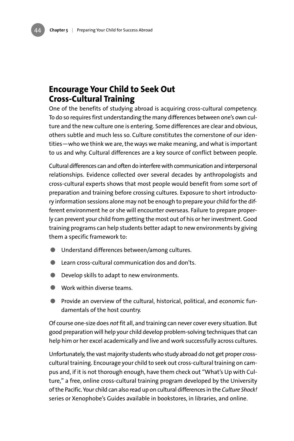# **Encourage Your Child to Seek Out Cross-Cultural Training**

One of the benefits of studying abroad is acquiring cross-cultural competency. To do so requires first understanding the many differences between one's own cul- ture and the new culture one is entering. Some differences are clear and obvious, others subtle and much less so. Culture constitutes the cornerstone of our identities—who we think we are, the ways we make meaning, and what is important to us and why. Cultural differences are a key source of conflict between people.

Cultural differences can and often do interfere with communication and interpersonal relationships. Evidence collected over several decades by anthropologists and cross-cultural experts shows that most people would benefit from some sort of preparation and training before crossing cultures. Exposure to short introducto- ry information sessions alone may not be enough to prepare your child forthe dif- ferent environment he or she will encounter overseas. Failure to prepare properly can prevent your child from getting the most out of his or her investment. Good training programs can help students better adapt to new environments by giving them a specific framework to:

- • Understand differences between/among cultures.
- Learn cross-cultural communication dos and don'ts.
- Develop skills to adapt to new environments.
- Work within diverse teams.
- damentals of the host country. • Provide an overview of the cultural, historical, political, and economic fun-

Of course one-size does *not* fit all, and training can never cover every situation. But good preparation will help your child develop problem-solving techniques that can help him or her excel academically and live and work successfully across cultures.

Unfortunately, the vast majority students who study abroad do not get proper crosscultural training. Encourage your child to seek out cross-cultural training on cam- pus and, if it is not thorough enough, have them check out "What's Up with Culture," a free, online cross-cultural training program developed by the University ofthe Pacific. Your child can also read up on cultural differences in the *Culture Shock!* series or Xenophobe's Guides available in bookstores, in libraries, and online.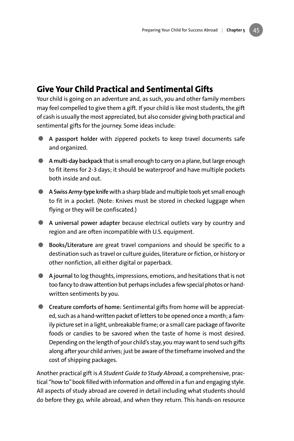# **Give Your Child Practical and Sentimental Gifts**

 Your child is going on an adventure and, as such, you and other family members may feel compelled to give them a gift. If your child is like most students, the gift of cash is usually the most appreciated, but also consider giving both practical and sentimental gifts for the journey. Some ideas include:

- passport holder with and organized. • **<sup>A</sup> passport holder** with zippered pockets to keep travel documents safe
- multi-day backpack that to fit items for 2-3 days; it should be waterproof and have multiple pockets both inside and out. • **A** multi-day backpack that is small enough to carry on a plane, but large enough<br>to fit items for 2-3 days: it should be waterproof and have multiple pockets
- **Swiss Army-type knife with**  to fit in a pocket. (Note: Knives must be stored in checked luggage when flying or they will be confiscated.) • **ASwissArmytype knife**with <sup>a</sup> sharp blade and multiple tools yet small enough
- universal power adapter because region and are often incompatible with U.S. equipment. • **<sup>A</sup> universal power adapter** because electrical outlets vary by country and
- destination such as travel or culture guides, literature or fiction, or history or other nonfiction, all either digital or paperback. • **Books/Literature** are great travel companions and should be specific to <sup>a</sup>
- journal to too fancy to draw attention but perhaps includes a few special photos or hand- written sentiments by you. • **<sup>A</sup> journal**to log thoughts, impressions, emotions, and hesitations that is not
- comforts of home: Sentimental ed, such as a hand-written packet of letters to be opened once a month; a family picture set in a light, unbreakable frame; or a small care package of favorite foods or candies to be savored when the taste of home is most desired. Depending on the length of your child's stay, you may want to send such gifts along after your child arrives; just be aware of the timeframe involved and the cost of shipping packages. • **Creature comforts of home:** Sentimental gifts from home will be appreciat-

  Another practical gift is *A Student Guide to Study Abroad,* a comprehensive, prac- tical "how to"book filled with information and offered in a fun and engaging style. All aspects of study abroad are covered in detail including what students should do before they go, while abroad, and when they return. This hands-on resource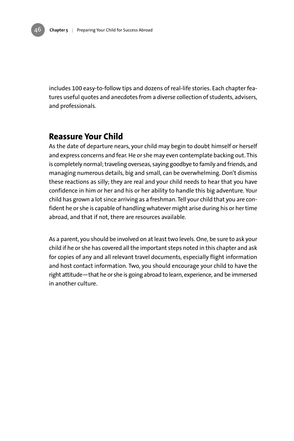includes 100 easy-to-follow tips and dozens of real-life stories. Each chapter fea- tures useful quotes and anecdotes from a diverse collection of students, advisers, and professionals.

## **Reassure Your Child**

 As the date of departure nears, your child may begin to doubt himself or herself and express concerns and fear. He or she may even contemplate backing out. This is completely normal; traveling overseas, saying goodbye to family and friends, and managing numerous details, big and small, can be overwhelming. Don't dismiss these reactions as silly; they are real and your child needs to hear that you have confidence in him or her and his or her ability to handle this big adventure. Your child has grown a lot since arriving as a freshman. Tell your child that you are confident he or she is capable of handling whatever might arise during his or her time abroad, and that if not, there are resources available.

As a parent, you should be involved on at least two levels. One, be sure to ask your child if he or she has covered all the important steps noted in this chapter and ask for copies of any and all relevant travel documents, especially flight information and host contact information. Two, you should encourage your child to have the right attitude—that he or she is going abroad to learn, experience, and be immersed in another culture.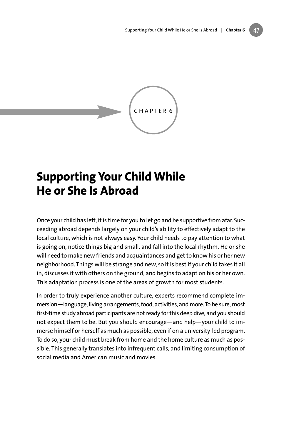

# **Supporting Your Child While He or She Is Abroad**

 Once your child has left, it is time for you to let go and be supportive from afar. Suc- ceeding abroad depends largely on your child's ability to effectively adapt to the local culture, which is not always easy. Your child needs to pay attention to what is going on, notice things big and small, and fall into the local rhythm. He or she will need to make new friends and acquaintances and get to know his or her new neighborhood. Things will be strange and new, so it is best if your child takes it all in, discusses it with others on the ground, and begins to adapt on his or her own. This adaptation process is one of the areas of growth for most students.

 In order to truly experience another culture, experts recommend complete im- mersion—language, living arrangements, food, activities, and more. To be sure, most first-time study abroad participants are not ready for this deep dive, and you should not expect them to be. But you should encourage—and help—your child to immerse himself or herself as much as possible, even if on a university-led program. To do so, your child must break from home and the home culture as much as pos- sible. This generally translates into infrequent calls, and limiting consumption of social media and American music and movies.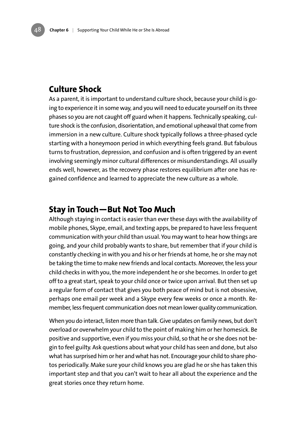# **Culture Shock**

 As a parent, it is important to understand culture shock, because your child is going to experience it in some way, and you will need to educate yourself on its three phases so you are not caught off guard when it happens. Technically speaking, culture shock is the confusion, disorientation, and emotional upheaval that come from immersion in a new culture. Culture shock typically follows a three-phased cycle starting with a honeymoon period in which everything feels grand. But fabulous turns to frustration, depression, and confusion and is often triggered by an event involving seemingly minor cultural differences or misunderstandings. All usually ends well, however, as the recovery phase restores equilibrium after one has re-gained confidence and learned to appreciate the new culture as a whole.

## **Stay in Touch—But Not Too Much**

 Although staying in contact is easier than ever these days with the availability of mobile phones, Skype, email, and texting apps, be prepared to have less frequent communication with your child than usual. You may want to hear how things are going, and your child probably wants to share, but remember that if your child is constantly checking in with you and his or her friends at home, he or she may not be taking the time to make new friends and local contacts. Moreover, the less your child checks in with you, the more independent he or she becomes. In order to get offto a great start, speak to your child once ortwice upon arrival. But then set up a regular form of contact that gives you both peace of mind but is not obsessive, perhaps one email per week and a Skype every few weeks or once a month. Re-member, less frequent communication does not mean lower quality communication.

 When you do interact, listen more than talk.Give updates on family news, but don't overload or overwhelm your child to the point of making him or her homesick. Be positive and supportive, even if you miss your child, so that he or she does not be- gin to feel guilty. Ask questions about what your child has seen and done, but also what has surprised him or her andwhat has not. Encourage your child to share pho- tos periodically. Make sure your child knows you are glad he or she has taken this important step and that you can't wait to hear all about the experience and the great stories once they return home.

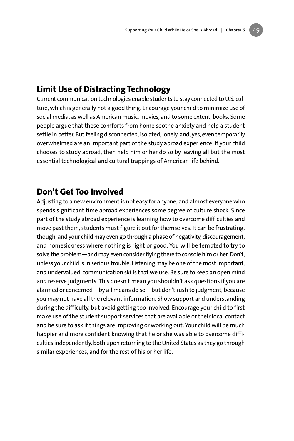# **Limit Use of Distracting Technology**

Current communication technologies enable students to stay connected to U.S. cul- ture, which is generally not a good thing. Encourage your child to minimize use of social media, as well as American music, movies, and to some extent, books. Some people argue that these comforts from home soothe anxiety and help a student settle in better. But feeling disconnected, isolated, lonely, and, yes, even temporarily overwhelmed are an important part of the study abroad experience. If your child chooses to study abroad, then help him or her do so by leaving all but the most essential technological and cultural trappings of American life behind.

## **Don't Get Too Involved**

Adjusting to a new environment is not easy for anyone, and almost everyone who spends significant time abroad experiences some degree of culture shock. Since part of the study abroad experience is learning how to overcome difficulties and move past them, students must figure it out for themselves. It can be frustrating, though, and your child may even go through a phase of negativity, discouragement, and homesickness where nothing is right or good. You will be tempted to try to solve the problem—and may even consider flying there to console him or her. Don't, unless your child is in serious trouble. Listening may be one of the most important, and undervalued, communication skills that we use. Be sure to keep an open mind and reserve judgments. This doesn't mean you shouldn't ask questions if you are alarmed or concerned—by all means do so—but don't rush to judgment, because you may not have all the relevant information. Show support and understanding during the difficulty, but avoid getting too involved. Encourage your child to first make use of the student support services that are available or their local contact and be sure to ask if things are improving or working out. Your child will be much happier and more confident knowing that he or she was able to overcome difficulties independently, both upon returning to the United States as they go through similar experiences, and for the rest of his or her life.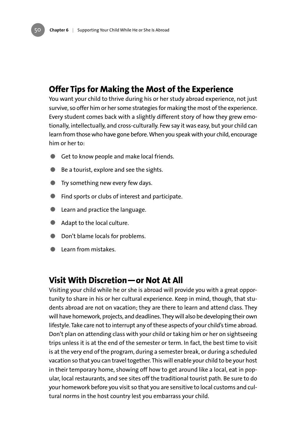# **Offer Tips for Making the Most of the Experience**

 You want your child to thrive during his or her study abroad experience, not just survive, so offer him or her some strategies for making the most of the experience. Every student comes back with a slightly different story of how they grew emotionally, intellectually, and cross-culturally. Few say it was easy, but your child can learn from those who have gone before. When you speak with your child, encourage him or her to:

- Get to know people and make local friends.
- Be <sup>a</sup> tourist, explore and see the sights.
- Try something new every few days.
- Find sports or clubs of interest and participate.
- Learn and practice the language.
- • Adapt to the local culture.
- Don't blame locals for problems.
- • Learn from mistakes.

## **Visit With Discretion—or Not At All**

 Visiting your child while he or she is abroad will provide you with a great oppor- tunity to share in his or her cultural experience. Keep in mind, though, that stu- dents abroad are not on vacation; they are there to learn and attend class. They will have homework, projects, and deadlines.Theywill also be developing their own lifestyle. Take care not to interrupt any of these aspects of your child's time abroad. Don't plan on attending class with your child or taking him or her on sightseeing trips unless it is at the end of the semester or term. In fact, the best time to visit is at the very end of the program, during a semester break, or during a scheduled vacation so that you can travel together. This will enable your child to be your host in their temporary home, showing off how to get around like a local, eat in pop- ular, local restaurants, and see sites off the traditional tourist path. Be sure to do your homework before you visit so that you are sensitive to local customs and cul-tural norms in the host country lest you embarrass your child.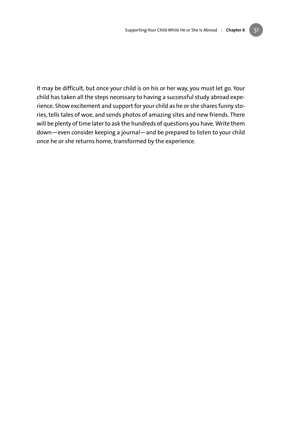It may be difficult, but once your child is on his or her way, you must let go. Your child has taken all the steps necessary to having a successful study abroad expe- rience. Show excitement and support for your child as he or she shares funny sto- ries, tells tales of woe, and sends photos of amazing sites and new friends. There will be plenty of time later to ask the hundreds of questions you have. Write them down—even consider keeping a journal—and be prepared to listen to your child once he or she returns home, transformed by the experience.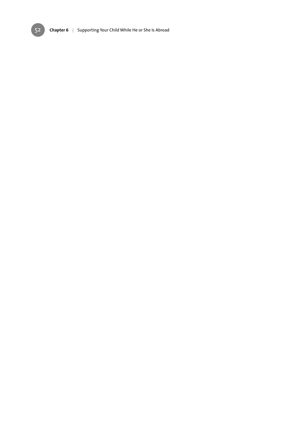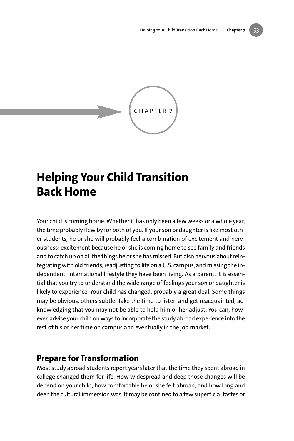

# **Helping Your Child Transition Back Home**

 Your child is coming home. Whether it has only been a few weeks or a whole year, the time probably flew by for both of you. If your son or daughter is like most oth- er students, he or she will probably feel a combination of excitement and nerv- ousness: excitement because he or she is coming home to see family and friends and to catch up on all the things he or she has missed. But also nervous about rein- tegrating with old friends, readjusting to life on a U.S. campus, and missing the in- dependent, international lifestyle they have been living. As a parent, it is essen- tial that you try to understand the wide range of feelings your son or daughter is likely to experience. Your child has changed, probably a great deal. Some things may be obvious, others subtle. Take the time to listen and get reacquainted, ac- knowledging that you may not be able to help him or her adjust. You can, how- ever, advise your child on ways to incorporate the study abroad experience into the rest of his or her time on campus and eventually in the job market.

# **Prepare for Transformation**

 Most study abroad students report years later that the time they spent abroad in college changed them for life. How widespread and deep those changes will be depend on your child, how comfortable he or she felt abroad, and how long and deep the cultural immersion was. It may be confined to a few superficial tastes or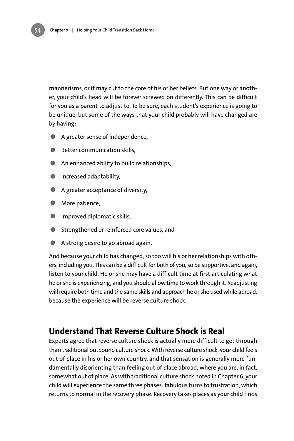mannerisms, or it may cut to the core of his or her beliefs. But one way or anoth- er, your child's head will be forever screwed on differently. This can be difficult for you as a parent to adjust to. To be sure, each student's experience is going to be unique, but some of the ways that your child probably will have changed are by having:

- <sup>A</sup> greater sense of independence,
- Better communication skills,
- An enhanced ability to build relationships,
- **•** Increased adaptability,
- <sup>A</sup> greater acceptance of diversity,
- **•** More patience,
- Improved diplomatic skills,
- Strengthened or reinforced core values, and
- <sup>A</sup> strong desire to go abroad again.

 And because your child has changed, so too will his or her relationships with others, including you. This can be a difficult for both of you, so be supportive, and again, listen to your child. He or she may have a difficult time at first articulating what he or she is experiencing, and you should allowtime towork through it. Readjusting will require both time and the same skills and approach he or she used while abroad, because the experience will be reverse culture shock.

## **Understand That Reverse Culture Shock is Real**

 Experts agree that reverse culture shock is actually more difficult to get through than traditional outbound culture shock.With reverse culture shock, your child feels out of place in his or her own country, and that sensation is generally more fun- damentally disorienting than feeling out of place abroad, where you are, in fact, somewhat out of place. As with traditional culture shock noted in Chapter 6, your child will experience the same three phases: fabulous turns to frustration, which returns to normal in the recovery phase. Recovery takes places as your child finds

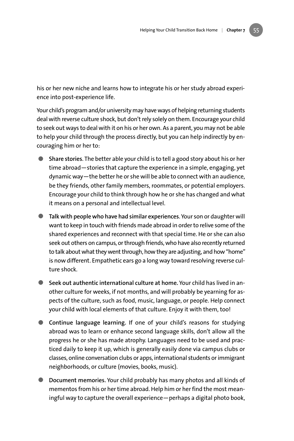his or her new niche and learns how to integrate his or her study abroad experience into post-experience life.

Your child's program and/or university may have ways of helping returning students deal with reverse culture shock, but don't rely solely on them. Encourage your child to seek out ways to deal with it on his or her own. As a parent, you may not be able to help your child through the process directly, but you can help indirectly by en-couraging him or her to:

- j time abroad—stories that capture the experience in a simple, engaging, yet dynamic way—the better he or she will be able to connect with an audience, be they friends, other family members, roommates, or potential employers. Encourage your child to think through how he or she has changed and what it means on a personal and intellectual level. • **Share stories**. The better able your child is to tell <sup>a</sup> good story about his or her
- with people who have had similar experiences. want to keep in touch with friends made abroad in order to relive some of the shared experiences and reconnect with that special time. He or she can also seek out others on campus, or through friends, who have also recently returned to talk about what they went through, how they are adjusting, and how "home" is now different. Empathetic ears go a long way toward resolving reverse cul-• **Talk with people who have had similar experiences**. Your son or daughter will ture shock.
- out authentic international culture at home. Your other culture for weeks, if not months, and will probably be yearning for as- pects of the culture, such as food, music, language, or people. Help connect your child with local elements of that culture. Enjoy it with them, too! • **Seek out authentic international culture at home.** Your child has lived in an-
- language learning. If abroad was to learn or enhance second language skills, don't allow all the progress he or she has made atrophy. Languages need to be used and prac- ticed daily to keep it up, which is generally easily done via campus clubs or classes, online conversation clubs or apps, international students orimmigrant neighborhoods, or culture (movies, books, music). • **Continue language learning.** If one of your child's reasons for studying
- mementos from his or her time abroad. Help him or her find the most mean- ingful way to capture the overall experience—perhaps a digital photo book,• **Document memories.** Your child probably has many photos and all kinds of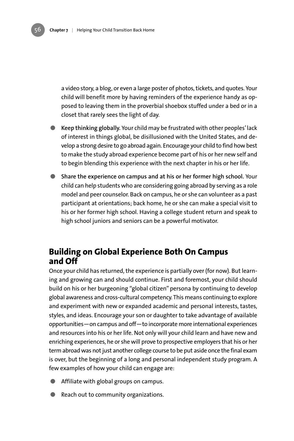a video story, a blog, or even a large poster of photos, tickets, and quotes. Your child will benefit more by having reminders of the experience handy as op- posed to leaving them in the proverbial shoebox stuffed under a bed or in a closet that rarely sees the light of day.

- **thinking globally.** Your of interest in things global, be disillusioned with the United States, and develop a strong desire to go abroad again. Encourage your child to find how best to make the study abroad experience become part of his or her new self and to begin blending this experience with the next chapter in his or her life. • **Keep thinking globally.** Your child may be frustrated with other peoples'lack
- the experience on campus and at his or her former high school. child can help students who are considering going abroad by serving as a role model and peer counselor. Back on campus, he or she can volunteer as a past participant at orientations; back home, he or she can make a special visit to his or her former high school. Having a college student return and speak to high school juniors and seniors can be a powerful motivator. • **Share the experience on campus and at his or her former high school.** Your

# **Building on Global Experience Both On Campus and Off**

Once your child has returned, the experience is partially over (for now). But learn- ing and growing can and should continue. First and foremost, your child should build on his or her burgeoning "global citizen" persona by continuing to develop global awareness and cross-cultural competency. This means continuing to explore and experiment with new or expanded academic and personal interests, tastes, styles, and ideas. Encourage your son or daughter to take advantage of available opportunities—on campus and off—to incorporate more international experiences and resources into his or her life. Not only will your child learn and have new and enriching experiences, he or she will prove to prospective employers that his or her term abroad was not just another college course to be put aside once the final exam is over, but the beginning of a long and personal independent study program. A few examples of how your child can engage are:

- Affiliate with global groups on campus.
- Reach out to community organizations.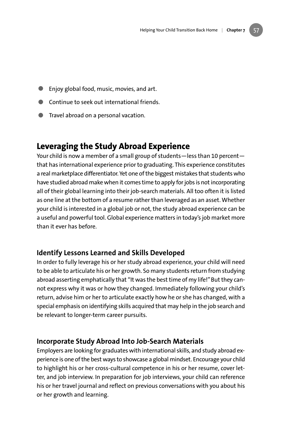- Enjoy global food, music, movies, and art.
- j • Continue to seek out international friends.
- Travel abroad on <sup>a</sup> personal vacation.

# **Leveraging the Study Abroad Experience**

 Your child is now a member of a small group of students—less than 10 percent that has international experience prior to graduating. This experience constitutes a real marketplace differentiator. Yet one of the biggest mistakes that students who have studied abroad make when it comes time to apply for jobs is not incorporating all of their global learning into their job-search materials. All too often it is listed as one line at the bottom of a resume rather than leveraged as an asset. Whether your child is interested in a global job or not, the study abroad experience can be a useful and powerful tool. Global experience matters in today's job market more than it ever has before.

#### **Identify Lessons Learned and Skills Developed**

 In order to fully leverage his or her study abroad experience, your child will need to be able to articulate his or her growth. So many students return from studying abroad asserting emphatically that "It was the best time of my life!" But they can- not express why it was or how they changed. Immediately following your child's return, advise him or her to articulate exactly how he or she has changed, with a special emphasis on identifying skills acquired that may help in the job search and be relevant to longer-term career pursuits.

#### **Incorporate Study Abroad Into Job-Search Materials**

 Employers are looking for graduates with international skills, and study abroad ex- perience is one ofthe best ways to showcase a global mindset. Encourage your child to highlight his or her cross-cultural competence in his or her resume, cover let- ter, and job interview. In preparation for job interviews, your child can reference his or her travel journal and reflect on previous conversations with you about his or her growth and learning.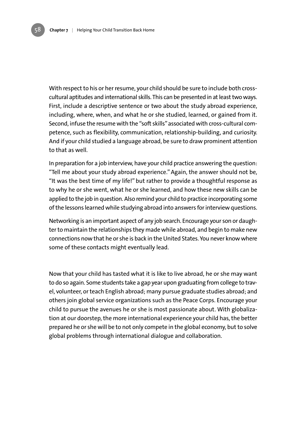With respect to his or her resume, your child should be sure to include both crosscultural aptitudes and international skills. This can be presented in at least two ways. First, include a descriptive sentence or two about the study abroad experience, including, where, when, and what he or she studied, learned, or gained from it. Second, infuse the resume with the "soft skills" associated with cross-cultural competence, such as flexibility, communication, relationship-building, and curiosity. And if your child studied a language abroad, be sure to draw prominent attention to that as well.

 In preparation for a job interview, have your child practice answering the question: "Tell me about your study abroad experience."Again, the answer should not be, "It was the best time of my life!" but rather to provide a thoughtful response as to why he or she went, what he or she learned, and how these new skills can be applied to the job in question. Also remind your child to practice incorporating some of the lessons learned while studying abroad into answers for interview questions.

 Networking is an important aspect of any job search. Encourage your son or daugh- terto maintain the relationships they made while abroad, and begin to make new connections now that he or she is back in the United States. You never know where some of these contacts might eventually lead.

 Now that your child has tasted what it is like to live abroad, he or she may want to do so again. Some students take a gap year upon graduating from college to travel, volunteer, or teach English abroad; many pursue graduate studies abroad; and others join global service organizations such as the Peace Corps. Encourage your child to pursue the avenues he or she is most passionate about. With globalization at our doorstep, the more international experience your child has, the better prepared he or she will be to not only compete in the global economy, but to solve global problems through international dialogue and collaboration.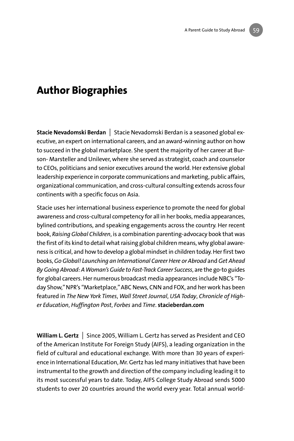# **Author Biographies**

 **Stacie Nevadomski Berdan |** Stacie Nevadomski Berdan is a seasoned global executive, an expert on international careers, and an award-winning author on how to succeed in the global marketplace. She spent the majority of her career at Burson- Marsteller and Unilever, where she served as strategist, coach and counselor to CEOs, politicians and senior executives around the world. Her extensive global leadership experience in corporate communications and marketing, public affairs, organizational communication, and cross-cultural consulting extends across four continents with a specific focus on Asia.

 Stacie uses her international business experience to promote the need for global awareness and cross-cultural competency for all in her books, media appearances, bylined contributions, and speaking engagements across the country. Her recent book, *Raising Global Children*, is a combination parenting-advocacy book that was the first of its kind to detail what raising global children means, why global awareness is critical, and how to develop a global mindset in children today. Her first two  books,*GoGlobal! Launching an International CareerHere or Abroad* and*Get Ahead ByGoing Abroad: AWoman'sGuide to FastTrack Career Success*, are the goto guides for global careers.Her numerous broadcast media appearances include NBC's "To- day Show,"NPR's "Marketplace,"ABC News, CNN and FOX, and her work has been  featured in *The New York Times*, *Wall Street Journal*, *USA Today*, *Chronicle of Higher Education*, *Huffington Post*, *Forbes* and *Time*. **stacieberdan.com**

 **William L. Gertz |** Since 2005, William L. Gertz has served as President and CEO of the American Institute For Foreign Study (AIFS), a leading organization in the field of cultural and educational exchange. With more than 30 years of experi- ence in International Education, Mr. Gertz has led many initiatives that have been instrumental to the growth and direction of the company including leading it to its most successful years to date. Today, AIFS College Study Abroad sends 5000 students to over 20 countries around the world every year. Total annual world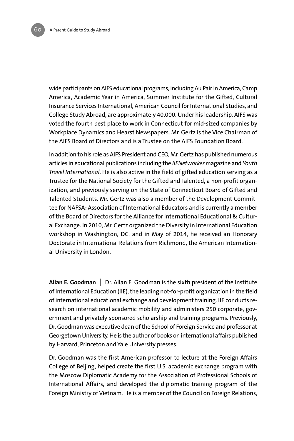wide participants on AIFS educational programs, including Au Pairin America, Camp America, Academic Year in America, Summer Institute for the Gifted, Cultural Insurance Services International, American Council for International Studies, and College Study Abroad, are approximately 40,000. Under his leadership, AIFS was voted the fourth best place to work in Connecticut for mid-sized companies by Workplace Dynamics and Hearst Newspapers. Mr. Gertz is the Vice Chairman of the AIFS Board of Directors and is a Trustee on the AIFS Foundation Board.

 In addition to his role as AIFS President and CEO, Mr.Gertz has published numerous articles in educational publications including the *IIENetworker* magazine and *Youth Travel International*. He is also active in the field of gifted education serving as a Trustee for the National Society for the Gifted and Talented, a non-profit organ- ization, and previously serving on the State of Connecticut Board of Gifted and Talented Students. Mr. Gertz was also a member of the Development Commit- tee for NAFSA: Association of International Educators and is currently a member of the Board of Directors for the Alliance for International Educational & Cultur- al Exchange. In 2010, Mr. Gertz organized the Diversity in International Education workshop in Washington, DC, and in May of 2014, he received an Honorary Doctorate in International Relations from Richmond, the American Internation-al University in London.

 **Allan E. Goodman |** Dr. Allan E. Goodman is the sixth president of the Institute of International Education (IIE), the leading not-for-profit organization in the field of international educational exchange and development training. IIE conducts re- search on international academic mobility and administers 250 corporate, gov- ernment and privately sponsored scholarship and training programs. Previously, Dr.Goodman was executive dean ofthe School of Foreign Service and professor at GeorgetownUniversity.He is the author of books on international affairs published by Harvard, Princeton and Yale University presses.

 Dr. Goodman was the first American professor to lecture at the Foreign Affairs College of Beijing, helped create the first U.S. academic exchange program with the Moscow Diplomatic Academy for the Association of Professional Schools of International Affairs, and developed the diplomatic training program of the Foreign Ministry of Vietnam. He is a member of the Council on Foreign Relations,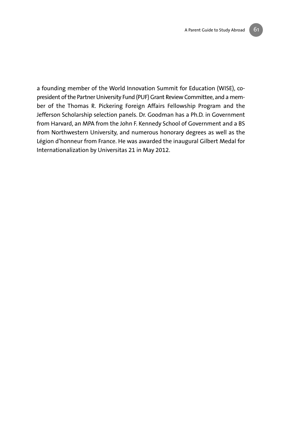a founding member of the World Innovation Summit for Education (WISE), copresident of the Partner University Fund (PUF) Grant Review Committee, and a mem- ber of the Thomas R. Pickering Foreign Affairs Fellowship Program and the Jefferson Scholarship selection panels. Dr. Goodman has a Ph.D. in Government from Harvard, an MPA from the John F. Kennedy School of Government and a BS from Northwestern University, and numerous honorary degrees as well as the Légion d'honneur from France. He was awarded the inaugural Gilbert Medal for Internationalization by Universitas 21 in May 2012.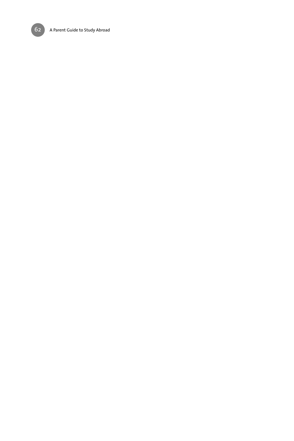A Parent Guide to Study Abroad

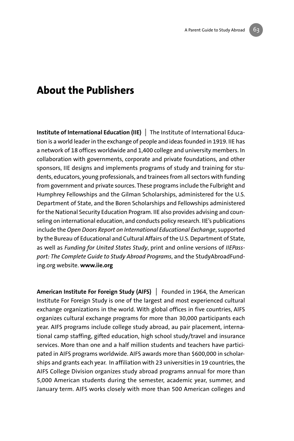# **About the Publishers**

 **Institute of International Education (IIE) |** The Institute of International Educa- tion is a world leaderin the exchange of people and ideas founded in 1919. IIE has a network of 18 offices worldwide and 1,400 college and university members. In collaboration with governments, corporate and private foundations, and other sponsors, IIE designs and implements programs of study and training for stu- dents, educators, young professionals, and trainees from all sectors with funding from government and private sources. These programs include the Fulbright and Humphrey Fellowships and the Gilman Scholarships, administered for the U.S. Department of State, and the Boren Scholarships and Fellowships administered forthe National Security Education Program. IIE also provides advising and coun- seling on international education, and conducts policy research. IIE's publications  include the *Open Doors Report on International Educational Exchange*, supported by the Bureau of Educational and Cultural Affairs of the U.S. Department of State,  as well as *Funding for United States Study*, print and online versions of *IIEPass- port: The Complete Guide to Study Abroad Programs*, and the StudyAbroadFund-ing.org website. **www.iie.org**

 **American Institute For Foreign Study (AIFS) |** Founded in 1964, the American Institute For Foreign Study is one of the largest and most experienced cultural exchange organizations in the world. With global offices in five countries, AIFS organizes cultural exchange programs for more than 30,000 participants each year. AIFS programs include college study abroad, au pair placement, interna- tional camp staffing, gifted education, high school study/travel and insurance services. More than one and a half million students and teachers have participated in AIFS programs worldwide. AIFS awards more than \$600,000 in scholar- ships and grants each year. In affiliation with 23 universities in 19 countries, the AIFS College Division organizes study abroad programs annual for more than 5,000 American students during the semester, academic year, summer, and January term. AIFS works closely with more than 500 American colleges and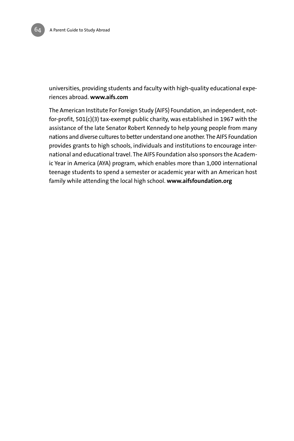universities, providing students and faculty with high-quality educational expe-riences abroad. **www.aifs.com**

 The American Institute For Foreign Study (AIFS) Foundation, an independent, notfor-profit, 501(c)(3) tax-exempt public charity, was established in 1967 with the assistance of the late Senator Robert Kennedy to help young people from many nations and diverse cultures to better understand one another. The AIFS Foundation provides grants to high schools, individuals and institutions to encourage international and educational travel. The AIFS Foundation also sponsors the Academ- ic Year in America (AYA) program, which enables more than 1,000 international teenage students to spend a semester or academic year with an American host family while attending the local high school. **www.aifsfoundation.org**

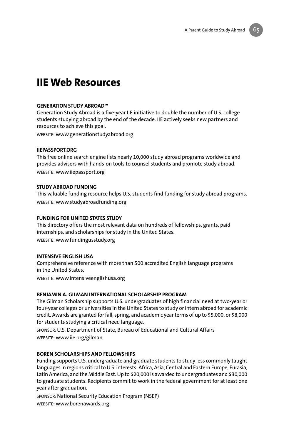# **IIE Web Resources**

#### **GENERATION STUDY ABROAD™**

Generation Study Abroad is a five-year IIE initiative to double the number of U.S. college students studying abroad by the end of the decade. IIE actively seeks new partners and resources to achieve this goal.

WEBSITE: www.generationstudyabroad.org

#### **IIEPASSPORT.ORG**

 This free online search engine lists nearly 10,000 study abroad programs worldwide and provides advisers with hands-on tools to counsel students and promote study abroad. WEBSITE: www.iiepassport.org

#### **STUDY ABROAD FUNDING**

 This valuable funding resource helps U.S. students find funding for study abroad programs. WEBSITE: www.studyabroadfunding.org

#### **FUNDING FOR UNITED STATES STUDY**

 This directory offers the most relevant data on hundreds of fellowships, grants, paid internships, and scholarships for study in the United States. WEBSITE: www.fundingusstudy.org

#### **INTENSIVE ENGLISH USA**

 Comprehensive reference with more than 500 accredited English language programs in the United States.

WEBSITE: www.intensiveenglishusa.org

#### **BENJAMIN A. GILMAN INTERNATIONAL SCHOLARSHIP PROGRAM**

The Gilman Scholarship supports U.S. undergraduates of high financial need at two-year or four-year colleges or universities in the United States to study or intern abroad for academic credit. Awards are granted forfall, spring, and academic yearterms of up to "5,000, or "8,000 for students studying a critical need language.

 SPONSOR:U.S. Department of State, Bureau of Educational and Cultural Affairs WEBSITE: www.iie.org/gilman

#### **BOREN SCHOLARSHIPS AND FELLOWSHIPS**

Funding supports U.S. undergraduate and graduate students to study less commonly taught languages in regions critical to U.S. interests: Africa, Asia, Central and Eastern Europe, Eurasia, Latin America, and the Middle East. Up to \$20,000 is awarded to undergraduates and \$30,000 to graduate students. Recipients commit to work in the federal government for at least one year after graduation.

 SPONSOR: National Security Education Program (NSEP) WEBSITE: www.borenawards.org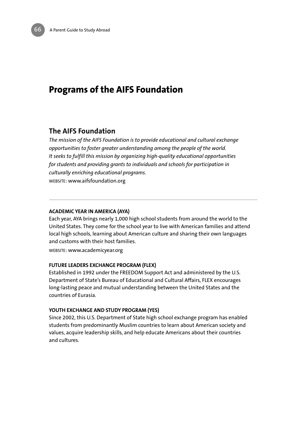## **Programs of the AIFS Foundation**

## **The AIFS Foundation**

 *The mission of the AIFS Foundation is to provide educational and cultural exchange opportunities to foster greater understanding among the people of the world. It seeks to fulfill this mission by organizing high-quality educational opportunities for students and providing grants to individuals and schools for participation in culturally enriching educational programs.* WEBSITE: www.aifsfoundation.org

#### **ACADEMIC YEAR IN AMERICA (AYA)**

 Each year, AYA brings nearly 1,000 high school students from around the world to the United States. They come for the school year to live with American families and attend local high schools, learning about American culture and sharing their own languages and customs with their host families.

WEBSITE: www.academicyear.org

#### **FUTURE LEADERS EXCHANGE PROGRAM (FLEX)**

 Established in 1992 under the FREEDOM Support Act and administered by the U.S. Department of State's Bureau of Educational and Cultural Affairs, FLEX encourages long-lasting peace and mutual understanding between the United States and the countries of Eurasia.

#### **YOUTH EXCHANGE AND STUDY PROGRAM (YES)**

 Since 2002, this U.S. Department of State high school exchange program has enabled students from predominantly Muslim countries to learn about American society and values, acquire leadership skills, and help educate Americans about their countries and cultures.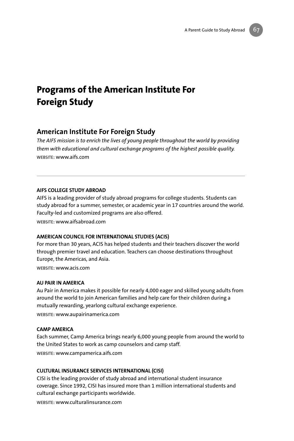# **Programs of the American Institute For Foreign Study**

## **American Institute For Foreign Study**

The AIFS mission is to enrich the lives of young people throughout the world by providing  *them with educational and cultural exchange programs of the highest possible quality.* WEBSITE: www.aifs.com

#### **AIFS COLLEGE STUDY ABROAD**

 AIFS is a leading provider of study abroad programs for college students. Students can study abroad for a summer, semester, or academic year in 17 countries around the world. Faculty-led and customized programs are also offered. WEBSITE: www.aifsabroad.com

#### **AMERICAN COUNCIL FOR INTERNATIONAL STUDIES (ACIS)**

 For more than 30 years, ACIS has helped students and their teachers discover the world through premier travel and education. Teachers can choose destinations throughout Europe, the Americas, and Asia.

WEBSITE: www.acis.com

#### **AU PAIR IN AMERICA**

 Au Pair in America makes it possible for nearly 4,000 eager and skilled young adults from around the world to join American families and help care for their children during a mutually rewarding, yearlong cultural exchange experience. WEBSITE: www.aupairinamerica.com

#### **CAMP AMERICA**

 Each summer, Camp America brings nearly 6,000 young people from around the world to the United States to work as camp counselors and camp staff. WEBSITE: www.campamerica.aifs.com

#### **CULTURAL INSURANCE SERVICES INTERNATIONAL (CISI)**

 CISI is the leading provider of study abroad and international student insurance coverage. Since 1992, CISI has insured more than 1 million international students and cultural exchange participants worldwide.

WEBSITE: www.culturalinsurance.com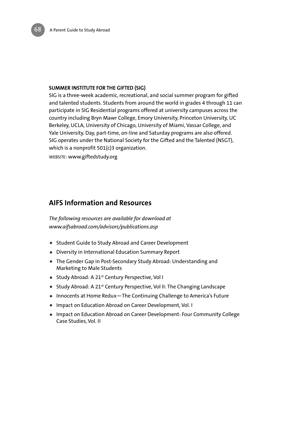#### **SUMMER INSTITUTE FOR THE GIFTED (SIG)**

SIG is a three-week academic, recreational, and social summer program for gifted and talented students. Students from around the world in grades 4 through 11 can participate in SIG Residential programs offered at university campuses across the country including Bryn Mawr College, Emory University, Princeton University, UC Berkeley, UCLA, University of Chicago, University of Miami, Vassar College, and Yale University. Day, part-time, on-line and Saturday programs are also offered. SIG operates under the National Society for the Gifted and the Talented (NSGT), which is a nonprofit 501(c)3 organization.

WEBSITE: www.giftedstudy.org

## **AIFS Information and Resources**

 *The following resources are available for download at www.aifsabroad.com/advisors/publications.asp*

- Student Guide to Study Abroad and Career Development
- Diversity in International Education Summary Report
- The Gender Gap in Post-Secondary Study Abroad: Understanding and Marketing to Male Students
- Study Abroad: A 21<sup>st</sup> Century Perspective, Vol I
- Study Abroad: A 21<sup>st</sup> Century Perspective, Vol II: The Changing Landscape
- Innocents at Home Redux—The Continuing Challenge to America's Future
- Impact on Education Abroad on Career Development, Vol. <sup>I</sup>
- Impact on Education Abroad on Career Development: Four Community College Case Studies, Vol. II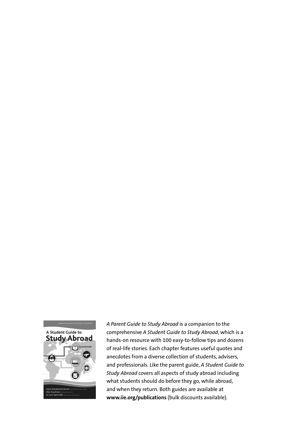

 *A Parent Guide to Study Abroad* is a companion to the  comprehensive *A Student Guide to Study Abroad*, which is a hands-on resource with 100 easy-to-follow tips and dozens of real-life stories. Each chapter features useful quotes and anecdotes from a diverse collection of students, advisers,  and professionals. Like the parent guide, *A Student Guide to Study Abroad* covers all aspects of study abroad including what students should do before they go, while abroad, and when they return. Both guides are available at **www.iie.org/publications** (bulk discounts available).